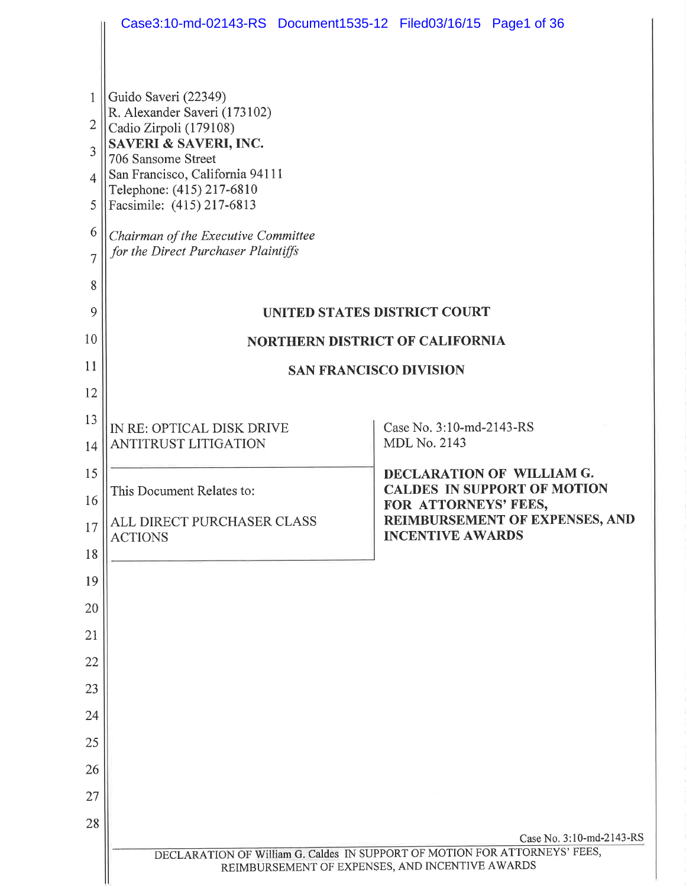|                | Case3:10-md-02143-RS Document1535-12 Filed03/16/15 Page1 of 36             |                                                 |                          |                                                                 |  |  |
|----------------|----------------------------------------------------------------------------|-------------------------------------------------|--------------------------|-----------------------------------------------------------------|--|--|
|                |                                                                            |                                                 |                          |                                                                 |  |  |
|                |                                                                            |                                                 |                          |                                                                 |  |  |
| 1<br>2         | Guido Saveri (22349)<br>R. Alexander Saveri (173102)                       |                                                 |                          |                                                                 |  |  |
| 3              | Cadio Zirpoli (179108)<br>SAVERI & SAVERI, INC.<br>706 Sansome Street      |                                                 |                          |                                                                 |  |  |
| 4              | San Francisco, California 94111                                            |                                                 |                          |                                                                 |  |  |
| 5              | Telephone: (415) 217-6810<br>Facsimile: (415) 217-6813                     |                                                 |                          |                                                                 |  |  |
| 6              | Chairman of the Executive Committee                                        |                                                 |                          |                                                                 |  |  |
| $\overline{7}$ | for the Direct Purchaser Plaintiffs                                        |                                                 |                          |                                                                 |  |  |
| 8              |                                                                            |                                                 |                          |                                                                 |  |  |
| 9              | UNITED STATES DISTRICT COURT                                               |                                                 |                          |                                                                 |  |  |
| 10             | <b>NORTHERN DISTRICT OF CALIFORNIA</b>                                     |                                                 |                          |                                                                 |  |  |
| 11             | <b>SAN FRANCISCO DIVISION</b>                                              |                                                 |                          |                                                                 |  |  |
| 12             |                                                                            |                                                 |                          |                                                                 |  |  |
| 13             | IN RE: OPTICAL DISK DRIVE                                                  |                                                 | Case No. 3:10-md-2143-RS |                                                                 |  |  |
| 14             | <b>ANTITRUST LITIGATION</b>                                                |                                                 | <b>MDL No. 2143</b>      |                                                                 |  |  |
| 15             | This Document Relates to:                                                  |                                                 |                          | DECLARATION OF WILLIAM G.<br><b>CALDES IN SUPPORT OF MOTION</b> |  |  |
| 16             | ALL DIRECT PURCHASER CLASS                                                 |                                                 | FOR ATTORNEYS' FEES,     | REIMBURSEMENT OF EXPENSES, AND                                  |  |  |
| 17             | <b>ACTIONS</b>                                                             |                                                 | <b>INCENTIVE AWARDS</b>  |                                                                 |  |  |
| 18<br>19       |                                                                            |                                                 |                          |                                                                 |  |  |
| 20             |                                                                            |                                                 |                          |                                                                 |  |  |
| 21             |                                                                            |                                                 |                          |                                                                 |  |  |
| 22             |                                                                            |                                                 |                          |                                                                 |  |  |
| 23             |                                                                            |                                                 |                          |                                                                 |  |  |
| 24             |                                                                            |                                                 |                          |                                                                 |  |  |
| 25             |                                                                            |                                                 |                          |                                                                 |  |  |
| 26             |                                                                            |                                                 |                          |                                                                 |  |  |
| 27             |                                                                            |                                                 |                          |                                                                 |  |  |
| 28             |                                                                            |                                                 |                          |                                                                 |  |  |
|                | DECLARATION OF William G. Caldes IN SUPPORT OF MOTION FOR ATTORNEYS' FEES, |                                                 |                          | Case No. 3:10-md-2143-RS                                        |  |  |
|                |                                                                            | REIMBURSEMENT OF EXPENSES, AND INCENTIVE AWARDS |                          |                                                                 |  |  |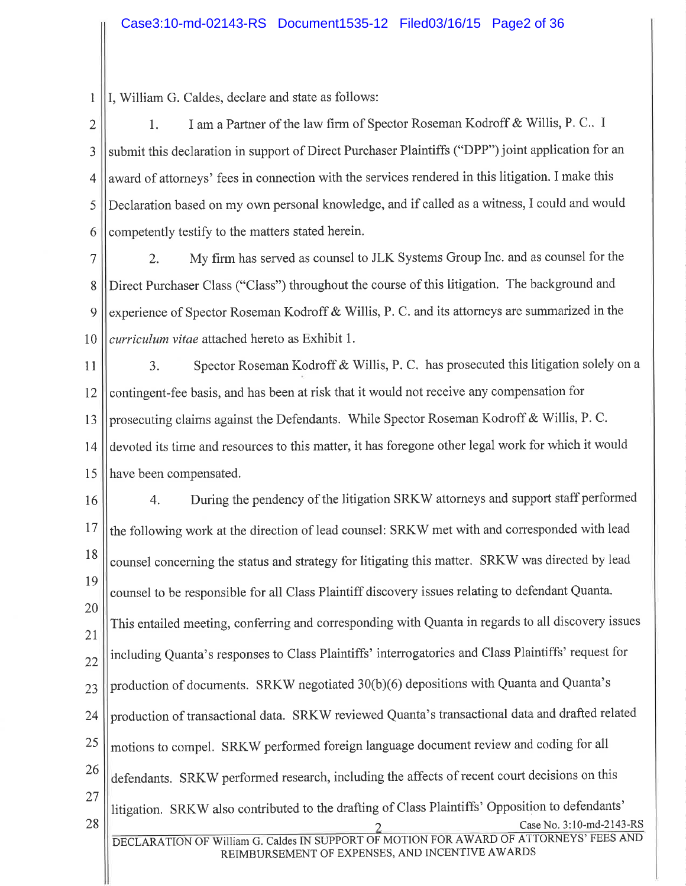I, William G. Caldes, declare and state as follows:  $\mathbf{1}$ 

I am a Partner of the law firm of Spector Roseman Kodroff & Willis, P. C. I  $\overline{2}$  $1.$ submit this declaration in support of Direct Purchaser Plaintiffs ("DPP") joint application for an 3 award of attorneys' fees in connection with the services rendered in this litigation. I make this  $\overline{4}$ Declaration based on my own personal knowledge, and if called as a witness, I could and would 5 competently testify to the matters stated herein. 6

My firm has served as counsel to JLK Systems Group Inc. and as counsel for the  $\overline{7}$  $\overline{2}$ . Direct Purchaser Class ("Class") throughout the course of this litigation. The background and 8 experience of Spector Roseman Kodroff & Willis, P. C. and its attorneys are summarized in the 9 curriculum vitae attached hereto as Exhibit 1. 10

Spector Roseman Kodroff & Willis, P. C. has prosecuted this litigation solely on a  $11$  $\overline{3}$ . contingent-fee basis, and has been at risk that it would not receive any compensation for 12 prosecuting claims against the Defendants. While Spector Roseman Kodroff & Willis, P. C. 13 devoted its time and resources to this matter, it has foregone other legal work for which it would 14 have been compensated. 15

During the pendency of the litigation SRKW attorneys and support staff performed  $4.$ 16 17 the following work at the direction of lead counsel: SRKW met with and corresponded with lead 18 counsel concerning the status and strategy for litigating this matter. SRKW was directed by lead 19 counsel to be responsible for all Class Plaintiff discovery issues relating to defendant Quanta. 20 This entailed meeting, conferring and corresponding with Quanta in regards to all discovery issues 21 including Quanta's responses to Class Plaintiffs' interrogatories and Class Plaintiffs' request for  $22$ production of documents. SRKW negotiated 30(b)(6) depositions with Quanta and Quanta's  $23$ production of transactional data. SRKW reviewed Quanta's transactional data and drafted related 24 25 motions to compel. SRKW performed foreign language document review and coding for all 26 defendants. SRKW performed research, including the affects of recent court decisions on this  $27$ litigation. SRKW also contributed to the drafting of Class Plaintiffs' Opposition to defendants' 28 Case No. 3:10-md-2143-RS DECLARATION OF William G. Caldes IN SUPPORT OF MOTION FOR AWARD OF ATTORNEYS' FEES AND REIMBURSEMENT OF EXPENSES, AND INCENTIVE AWARDS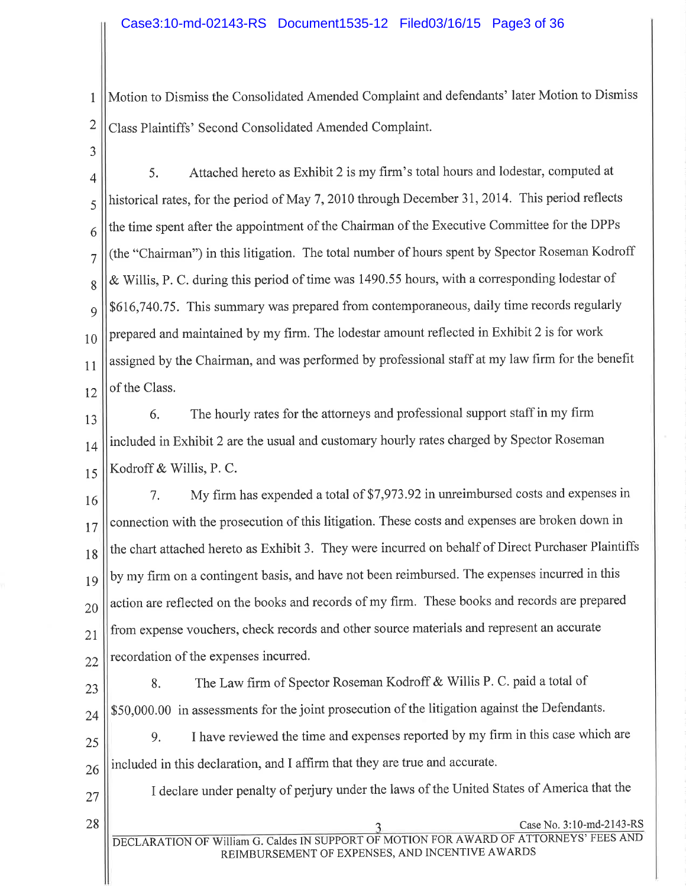Motion to Dismiss the Consolidated Amended Complaint and defendants' later Motion to Dismiss  $\mathbf{1}$  $\overline{2}$ Class Plaintiffs' Second Consolidated Amended Complaint.

3

Attached hereto as Exhibit 2 is my firm's total hours and lodestar, computed at 5.  $\overline{4}$ historical rates, for the period of May 7, 2010 through December 31, 2014. This period reflects 5 the time spent after the appointment of the Chairman of the Executive Committee for the DPPs 6 (the "Chairman") in this litigation. The total number of hours spent by Spector Roseman Kodroff  $\overline{7}$ & Willis, P. C. during this period of time was 1490.55 hours, with a corresponding lodestar of 8 \$616,740.75. This summary was prepared from contemporaneous, daily time records regularly 9 prepared and maintained by my firm. The lodestar amount reflected in Exhibit 2 is for work  $10$ assigned by the Chairman, and was performed by professional staff at my law firm for the benefit of the Class. 12

13

14

15

 $11$ 

The hourly rates for the attorneys and professional support staff in my firm 6. included in Exhibit 2 are the usual and customary hourly rates charged by Spector Roseman Kodroff & Willis, P. C.

My firm has expended a total of \$7,973.92 in unreimbursed costs and expenses in 7. 16 connection with the prosecution of this litigation. These costs and expenses are broken down in 17 the chart attached hereto as Exhibit 3. They were incurred on behalf of Direct Purchaser Plaintiffs 18 by my firm on a contingent basis, and have not been reimbursed. The expenses incurred in this 19 action are reflected on the books and records of my firm. These books and records are prepared 20 from expense vouchers, check records and other source materials and represent an accurate  $21$ recordation of the expenses incurred. 22

23

The Law firm of Spector Roseman Kodroff & Willis P. C. paid a total of 8. \$50,000.00 in assessments for the joint prosecution of the litigation against the Defendants.

included in this declaration, and I affirm that they are true and accurate.

25

9.

24

26

27

28

I declare under penalty of perjury under the laws of the United States of America that the

I have reviewed the time and expenses reported by my firm in this case which are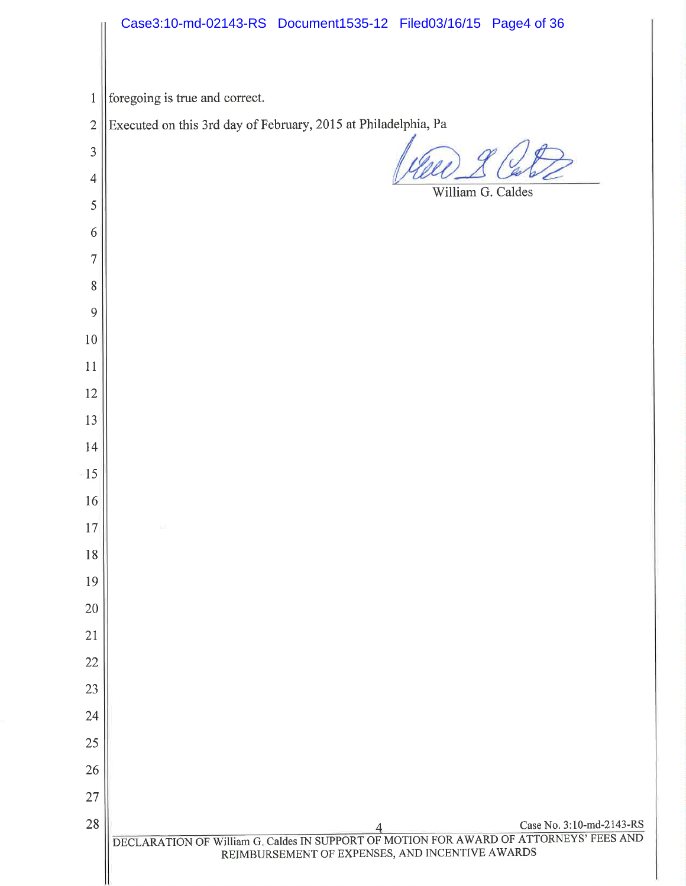|                | Case3:10-md-02143-RS Document1535-12 Filed03/16/15 Page4 of 36                                                                                                        |
|----------------|-----------------------------------------------------------------------------------------------------------------------------------------------------------------------|
| $\mathbf{1}$   | foregoing is true and correct.                                                                                                                                        |
| $\overline{2}$ | Executed on this 3rd day of February, 2015 at Philadelphia, Pa                                                                                                        |
| 3              |                                                                                                                                                                       |
| $\overline{4}$ |                                                                                                                                                                       |
| 5              | William G. Caldes                                                                                                                                                     |
| 6              |                                                                                                                                                                       |
| $\overline{7}$ |                                                                                                                                                                       |
| 8              |                                                                                                                                                                       |
| 9              |                                                                                                                                                                       |
| $10\,$         |                                                                                                                                                                       |
| 11             |                                                                                                                                                                       |
| 12             |                                                                                                                                                                       |
| 13             |                                                                                                                                                                       |
| 14             |                                                                                                                                                                       |
| 15             |                                                                                                                                                                       |
| 16             |                                                                                                                                                                       |
| 17             |                                                                                                                                                                       |
| 18             |                                                                                                                                                                       |
| 19             |                                                                                                                                                                       |
| 20             |                                                                                                                                                                       |
| 21             |                                                                                                                                                                       |
| 22             |                                                                                                                                                                       |
| 23             |                                                                                                                                                                       |
| 24             |                                                                                                                                                                       |
| 25             |                                                                                                                                                                       |
| 26             |                                                                                                                                                                       |
| $27\,$         |                                                                                                                                                                       |
| 28             | Case No. 3:10-md-2143-RS<br>DECLARATION OF William G. Caldes IN SUPPORT OF MOTION FOR AWARD OF ATTORNEYS' FEES AND<br>REIMBURSEMENT OF EXPENSES, AND INCENTIVE AWARDS |
|                |                                                                                                                                                                       |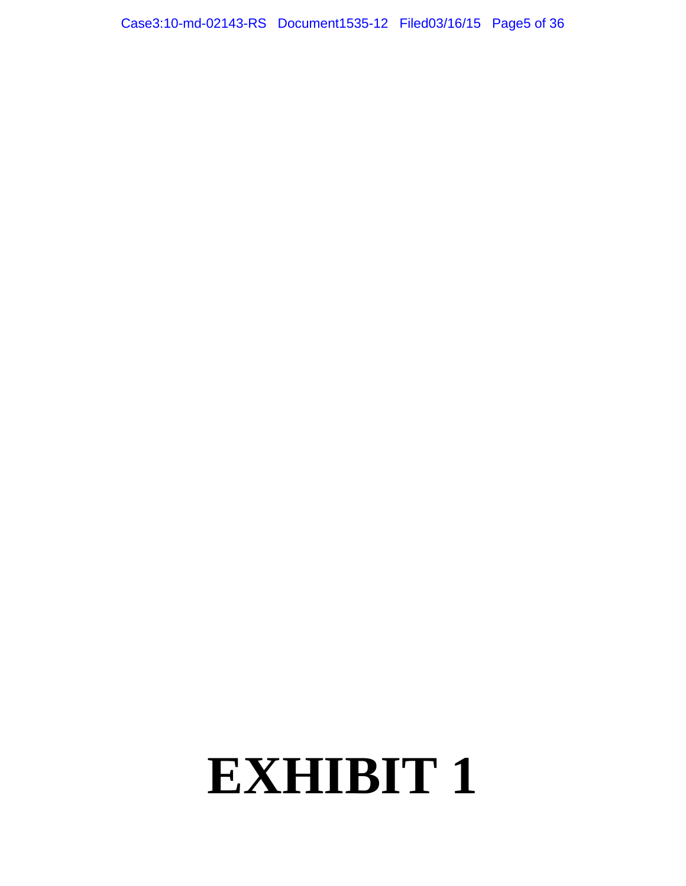Case3:10-md-02143-RS Document1535-12 Filed03/16/15 Page5 of 36

## **EXHIBIT 1**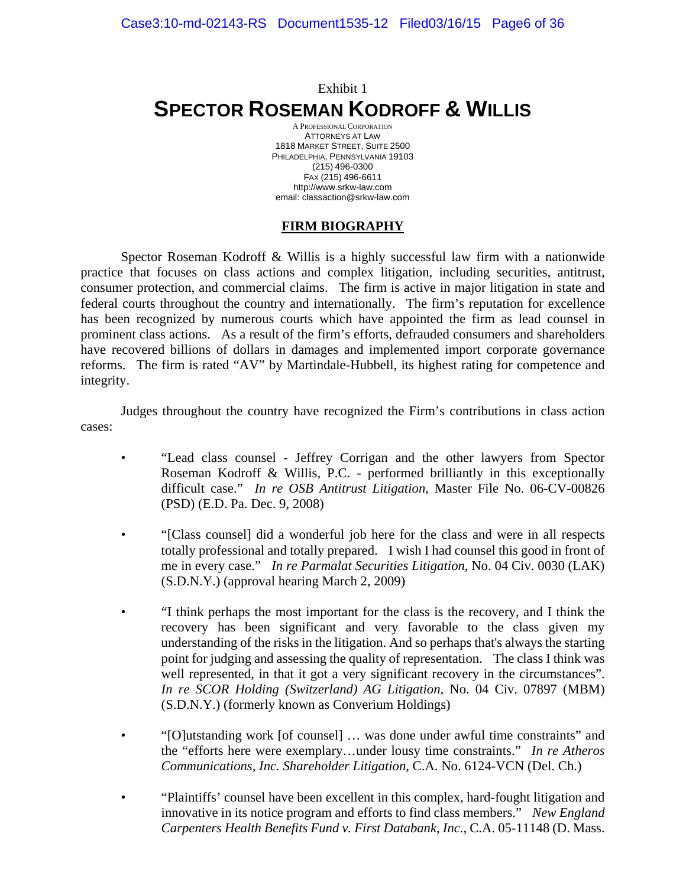## Exhibit 1 **SPECTOR ROSEMAN KODROFF & WILLIS**

A PROFESSIONAL CORPORATION ATTORNEYS AT LAW 1818 MARKET STREET, SUITE 2500 PHILADELPHIA, PENNSYLVANIA 19103 (215) 496-0300 FAX (215) 496-6611 http://www.srkw-law.com email: classaction@srkw-law.com

### **FIRM BIOGRAPHY**

 Spector Roseman Kodroff & Willis is a highly successful law firm with a nationwide practice that focuses on class actions and complex litigation, including securities, antitrust, consumer protection, and commercial claims. The firm is active in major litigation in state and federal courts throughout the country and internationally. The firm's reputation for excellence has been recognized by numerous courts which have appointed the firm as lead counsel in prominent class actions. As a result of the firm's efforts, defrauded consumers and shareholders have recovered billions of dollars in damages and implemented import corporate governance reforms. The firm is rated "AV" by Martindale-Hubbell, its highest rating for competence and integrity.

 Judges throughout the country have recognized the Firm's contributions in class action cases:

- "Lead class counsel Jeffrey Corrigan and the other lawyers from Spector Roseman Kodroff & Willis, P.C. - performed brilliantly in this exceptionally difficult case." *In re OSB Antitrust Litigation*, Master File No. 06-CV-00826 (PSD) (E.D. Pa. Dec. 9, 2008)
- "[Class counsel] did a wonderful job here for the class and were in all respects totally professional and totally prepared. I wish I had counsel this good in front of me in every case." *In re Parmalat Securities Litigation*, No. 04 Civ. 0030 (LAK) (S.D.N.Y.) (approval hearing March 2, 2009)
- "I think perhaps the most important for the class is the recovery, and I think the recovery has been significant and very favorable to the class given my understanding of the risks in the litigation. And so perhaps that's always the starting point for judging and assessing the quality of representation. The class I think was well represented, in that it got a very significant recovery in the circumstances". *In re SCOR Holding (Switzerland) AG Litigation*, No. 04 Civ. 07897 (MBM) (S.D.N.Y.) (formerly known as Converium Holdings)
- "[O]utstanding work [of counsel] … was done under awful time constraints" and the "efforts here were exemplary…under lousy time constraints." *In re Atheros Communications, Inc. Shareholder Litigation*, C.A. No. 6124-VCN (Del. Ch.)
- "Plaintiffs' counsel have been excellent in this complex, hard-fought litigation and innovative in its notice program and efforts to find class members." *New England Carpenters Health Benefits Fund v. First Databank, Inc.*, C.A. 05-11148 (D. Mass.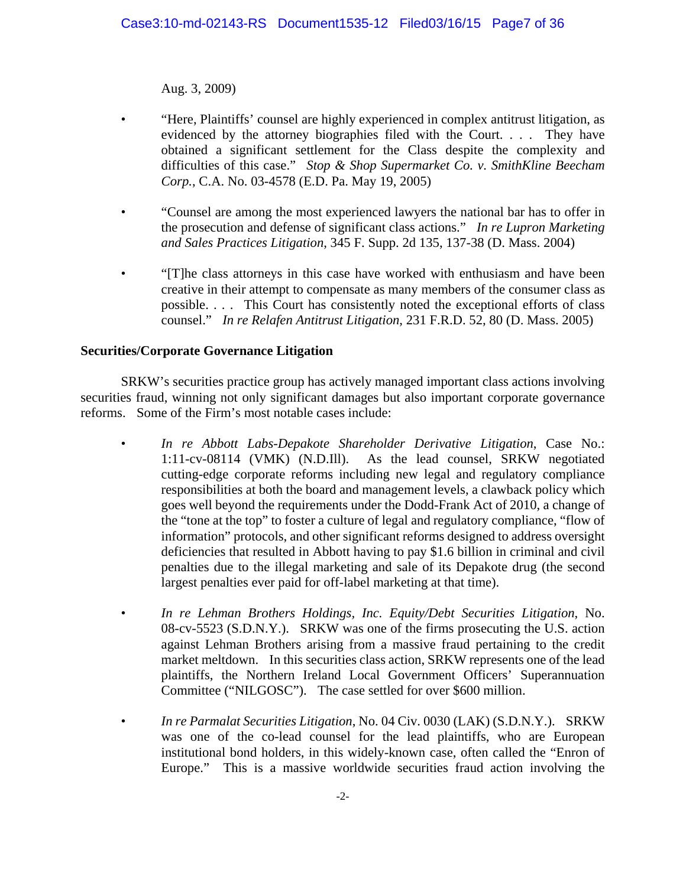Aug. 3, 2009)

- "Here, Plaintiffs' counsel are highly experienced in complex antitrust litigation, as evidenced by the attorney biographies filed with the Court. . . . They have obtained a significant settlement for the Class despite the complexity and difficulties of this case." *Stop & Shop Supermarket Co. v. SmithKline Beecham Corp.*, C.A. No. 03-4578 (E.D. Pa. May 19, 2005)
- "Counsel are among the most experienced lawyers the national bar has to offer in the prosecution and defense of significant class actions." *In re Lupron Marketing and Sales Practices Litigation*, 345 F. Supp. 2d 135, 137-38 (D. Mass. 2004)
- "[T]he class attorneys in this case have worked with enthusiasm and have been creative in their attempt to compensate as many members of the consumer class as possible. . . . This Court has consistently noted the exceptional efforts of class counsel." *In re Relafen Antitrust Litigation*, 231 F.R.D. 52, 80 (D. Mass. 2005)

### **Securities/Corporate Governance Litigation**

 SRKW's securities practice group has actively managed important class actions involving securities fraud, winning not only significant damages but also important corporate governance reforms. Some of the Firm's most notable cases include:

- • *In re Abbott Labs-Depakote Shareholder Derivative Litigation*, Case No.: 1:11-cv-08114 (VMK) (N.D.Ill). As the lead counsel, SRKW negotiated cutting-edge corporate reforms including new legal and regulatory compliance responsibilities at both the board and management levels, a clawback policy which goes well beyond the requirements under the Dodd-Frank Act of 2010, a change of the "tone at the top" to foster a culture of legal and regulatory compliance, "flow of information" protocols, and other significant reforms designed to address oversight deficiencies that resulted in Abbott having to pay \$1.6 billion in criminal and civil penalties due to the illegal marketing and sale of its Depakote drug (the second largest penalties ever paid for off-label marketing at that time).
- • *In re Lehman Brothers Holdings, Inc. Equity/Debt Securities Litigation*, No. 08-cv-5523 (S.D.N.Y.). SRKW was one of the firms prosecuting the U.S. action against Lehman Brothers arising from a massive fraud pertaining to the credit market meltdown. In this securities class action, SRKW represents one of the lead plaintiffs, the Northern Ireland Local Government Officers' Superannuation Committee ("NILGOSC"). The case settled for over \$600 million.
- *In re Parmalat Securities Litigation*, No. 04 Civ. 0030 (LAK) (S.D.N.Y.). SRKW was one of the co-lead counsel for the lead plaintiffs, who are European institutional bond holders, in this widely-known case, often called the "Enron of Europe." This is a massive worldwide securities fraud action involving the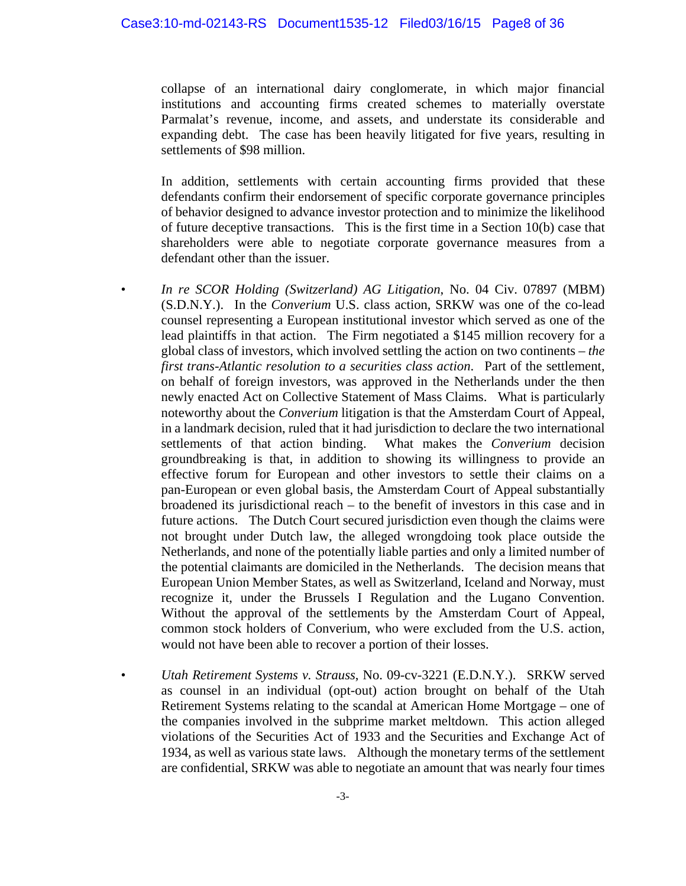collapse of an international dairy conglomerate, in which major financial institutions and accounting firms created schemes to materially overstate Parmalat's revenue, income, and assets, and understate its considerable and expanding debt. The case has been heavily litigated for five years, resulting in settlements of \$98 million.

In addition, settlements with certain accounting firms provided that these defendants confirm their endorsement of specific corporate governance principles of behavior designed to advance investor protection and to minimize the likelihood of future deceptive transactions. This is the first time in a Section 10(b) case that shareholders were able to negotiate corporate governance measures from a defendant other than the issuer.

- *In re SCOR Holding (Switzerland) AG Litigation*, No. 04 Civ. 07897 (MBM) (S.D.N.Y.). In the *Converium* U.S. class action, SRKW was one of the co-lead counsel representing a European institutional investor which served as one of the lead plaintiffs in that action. The Firm negotiated a \$145 million recovery for a global class of investors, which involved settling the action on two continents – *the first trans-Atlantic resolution to a securities class action*. Part of the settlement, on behalf of foreign investors, was approved in the Netherlands under the then newly enacted Act on Collective Statement of Mass Claims. What is particularly noteworthy about the *Converium* litigation is that the Amsterdam Court of Appeal, in a landmark decision, ruled that it had jurisdiction to declare the two international settlements of that action binding. What makes the *Converium* decision groundbreaking is that, in addition to showing its willingness to provide an effective forum for European and other investors to settle their claims on a pan-European or even global basis, the Amsterdam Court of Appeal substantially broadened its jurisdictional reach – to the benefit of investors in this case and in future actions. The Dutch Court secured jurisdiction even though the claims were not brought under Dutch law, the alleged wrongdoing took place outside the Netherlands, and none of the potentially liable parties and only a limited number of the potential claimants are domiciled in the Netherlands. The decision means that European Union Member States, as well as Switzerland, Iceland and Norway, must recognize it, under the Brussels I Regulation and the Lugano Convention. Without the approval of the settlements by the Amsterdam Court of Appeal, common stock holders of Converium, who were excluded from the U.S. action, would not have been able to recover a portion of their losses.
- *Utah Retirement Systems v. Strauss*, No. 09-cv-3221 (E.D.N.Y.). SRKW served as counsel in an individual (opt-out) action brought on behalf of the Utah Retirement Systems relating to the scandal at American Home Mortgage – one of the companies involved in the subprime market meltdown. This action alleged violations of the Securities Act of 1933 and the Securities and Exchange Act of 1934, as well as various state laws. Although the monetary terms of the settlement are confidential, SRKW was able to negotiate an amount that was nearly four times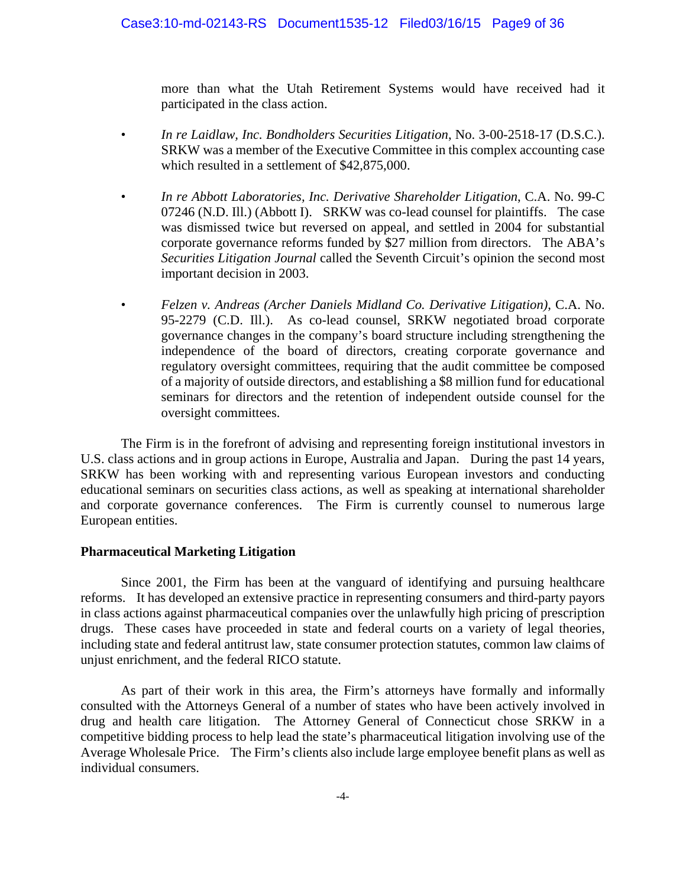more than what the Utah Retirement Systems would have received had it participated in the class action.

- *In re Laidlaw, Inc. Bondholders Securities Litigation*, No. 3-00-2518-17 (D.S.C.). SRKW was a member of the Executive Committee in this complex accounting case which resulted in a settlement of \$42,875,000.
- *In re Abbott Laboratories, Inc. Derivative Shareholder Litigation*, C.A. No. 99-C 07246 (N.D. Ill.) (Abbott I). SRKW was co-lead counsel for plaintiffs. The case was dismissed twice but reversed on appeal, and settled in 2004 for substantial corporate governance reforms funded by \$27 million from directors. The ABA's *Securities Litigation Journal* called the Seventh Circuit's opinion the second most important decision in 2003.
- *Felzen v. Andreas (Archer Daniels Midland Co. Derivative Litigation)*, C.A. No. 95-2279 (C.D. Ill.). As co-lead counsel, SRKW negotiated broad corporate governance changes in the company's board structure including strengthening the independence of the board of directors, creating corporate governance and regulatory oversight committees, requiring that the audit committee be composed of a majority of outside directors, and establishing a \$8 million fund for educational seminars for directors and the retention of independent outside counsel for the oversight committees.

 The Firm is in the forefront of advising and representing foreign institutional investors in U.S. class actions and in group actions in Europe, Australia and Japan. During the past 14 years, SRKW has been working with and representing various European investors and conducting educational seminars on securities class actions, as well as speaking at international shareholder and corporate governance conferences. The Firm is currently counsel to numerous large European entities.

#### **Pharmaceutical Marketing Litigation**

 Since 2001, the Firm has been at the vanguard of identifying and pursuing healthcare reforms. It has developed an extensive practice in representing consumers and third-party payors in class actions against pharmaceutical companies over the unlawfully high pricing of prescription drugs. These cases have proceeded in state and federal courts on a variety of legal theories, including state and federal antitrust law, state consumer protection statutes, common law claims of unjust enrichment, and the federal RICO statute.

 As part of their work in this area, the Firm's attorneys have formally and informally consulted with the Attorneys General of a number of states who have been actively involved in drug and health care litigation. The Attorney General of Connecticut chose SRKW in a competitive bidding process to help lead the state's pharmaceutical litigation involving use of the Average Wholesale Price. The Firm's clients also include large employee benefit plans as well as individual consumers.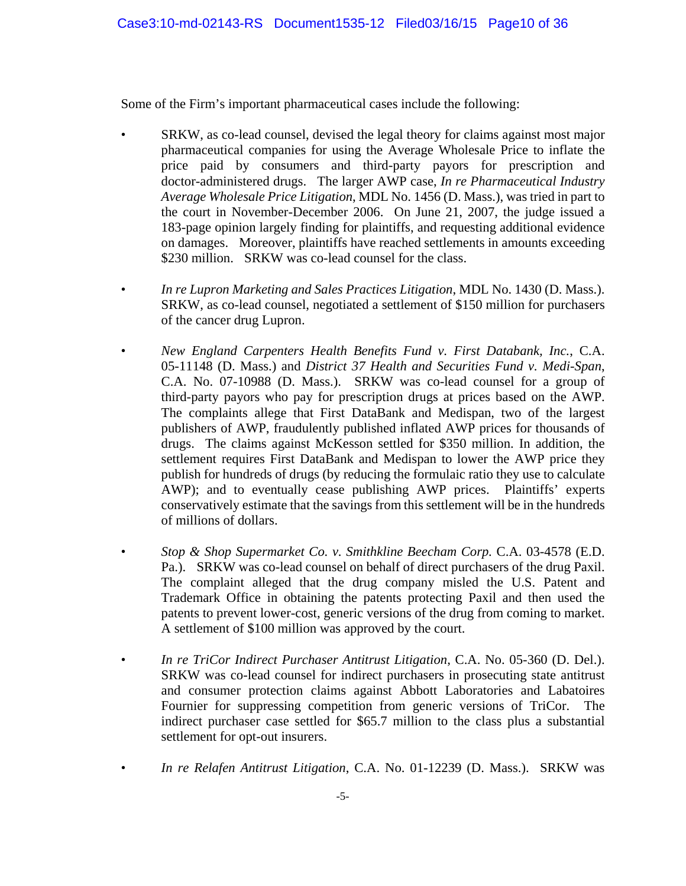Some of the Firm's important pharmaceutical cases include the following:

- SRKW, as co-lead counsel, devised the legal theory for claims against most major pharmaceutical companies for using the Average Wholesale Price to inflate the price paid by consumers and third-party payors for prescription and doctor-administered drugs. The larger AWP case, *In re Pharmaceutical Industry Average Wholesale Price Litigation*, MDL No. 1456 (D. Mass.), was tried in part to the court in November-December 2006. On June 21, 2007, the judge issued a 183-page opinion largely finding for plaintiffs, and requesting additional evidence on damages. Moreover, plaintiffs have reached settlements in amounts exceeding \$230 million. SRKW was co-lead counsel for the class.
- *In re Lupron Marketing and Sales Practices Litigation*, MDL No. 1430 (D. Mass.). SRKW, as co-lead counsel, negotiated a settlement of \$150 million for purchasers of the cancer drug Lupron.
- *New England Carpenters Health Benefits Fund v. First Databank, Inc.*, C.A. 05-11148 (D. Mass.) and *District 37 Health and Securities Fund v. Medi-Span*, C.A. No. 07-10988 (D. Mass.). SRKW was co-lead counsel for a group of third-party payors who pay for prescription drugs at prices based on the AWP. The complaints allege that First DataBank and Medispan, two of the largest publishers of AWP, fraudulently published inflated AWP prices for thousands of drugs. The claims against McKesson settled for \$350 million. In addition, the settlement requires First DataBank and Medispan to lower the AWP price they publish for hundreds of drugs (by reducing the formulaic ratio they use to calculate AWP); and to eventually cease publishing AWP prices. Plaintiffs' experts conservatively estimate that the savings from this settlement will be in the hundreds of millions of dollars.
- *Stop & Shop Supermarket Co. v. Smithkline Beecham Corp. C.A.* 03-4578 (E.D. Pa.). SRKW was co-lead counsel on behalf of direct purchasers of the drug Paxil. The complaint alleged that the drug company misled the U.S. Patent and Trademark Office in obtaining the patents protecting Paxil and then used the patents to prevent lower-cost, generic versions of the drug from coming to market. A settlement of \$100 million was approved by the court.
- *In re TriCor Indirect Purchaser Antitrust Litigation*, C.A. No. 05-360 (D. Del.). SRKW was co-lead counsel for indirect purchasers in prosecuting state antitrust and consumer protection claims against Abbott Laboratories and Labatoires Fournier for suppressing competition from generic versions of TriCor. The indirect purchaser case settled for \$65.7 million to the class plus a substantial settlement for opt-out insurers.
- *In re Relafen Antitrust Litigation*, C.A. No. 01-12239 (D. Mass.). SRKW was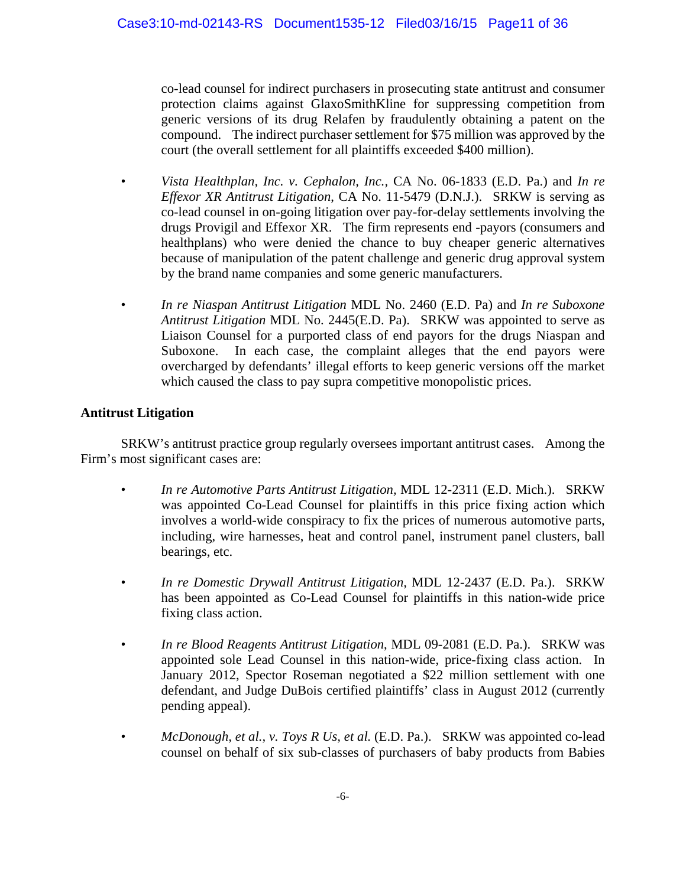co-lead counsel for indirect purchasers in prosecuting state antitrust and consumer protection claims against GlaxoSmithKline for suppressing competition from generic versions of its drug Relafen by fraudulently obtaining a patent on the compound. The indirect purchaser settlement for \$75 million was approved by the court (the overall settlement for all plaintiffs exceeded \$400 million).

- *Vista Healthplan, Inc. v. Cephalon, Inc.,* CA No. 06-1833 (E.D. Pa.) and *In re Effexor XR Antitrust Litigation*, CA No. 11-5479 (D.N.J.). SRKW is serving as co-lead counsel in on-going litigation over pay-for-delay settlements involving the drugs Provigil and Effexor XR. The firm represents end -payors (consumers and healthplans) who were denied the chance to buy cheaper generic alternatives because of manipulation of the patent challenge and generic drug approval system by the brand name companies and some generic manufacturers.
- *In re Niaspan Antitrust Litigation* MDL No. 2460 (E.D. Pa) and *In re Suboxone Antitrust Litigation* MDL No. 2445(E.D. Pa). SRKW was appointed to serve as Liaison Counsel for a purported class of end payors for the drugs Niaspan and Suboxone. In each case, the complaint alleges that the end payors were overcharged by defendants' illegal efforts to keep generic versions off the market which caused the class to pay supra competitive monopolistic prices.

## **Antitrust Litigation**

 SRKW's antitrust practice group regularly oversees important antitrust cases. Among the Firm's most significant cases are:

- *In re Automotive Parts Antitrust Litigation,* MDL 12-2311 (E.D. Mich.). SRKW was appointed Co-Lead Counsel for plaintiffs in this price fixing action which involves a world-wide conspiracy to fix the prices of numerous automotive parts, including, wire harnesses, heat and control panel, instrument panel clusters, ball bearings, etc.
- *In re Domestic Drywall Antitrust Litigation,* MDL 12-2437 (E.D. Pa.). SRKW has been appointed as Co-Lead Counsel for plaintiffs in this nation-wide price fixing class action.
- *In re Blood Reagents Antitrust Litigation*, MDL 09-2081 (E.D. Pa.). SRKW was appointed sole Lead Counsel in this nation-wide, price-fixing class action. In January 2012, Spector Roseman negotiated a \$22 million settlement with one defendant, and Judge DuBois certified plaintiffs' class in August 2012 (currently pending appeal).
- *McDonough, et al., v. Toys R Us, et al.* (E.D. Pa.). SRKW was appointed co-lead counsel on behalf of six sub-classes of purchasers of baby products from Babies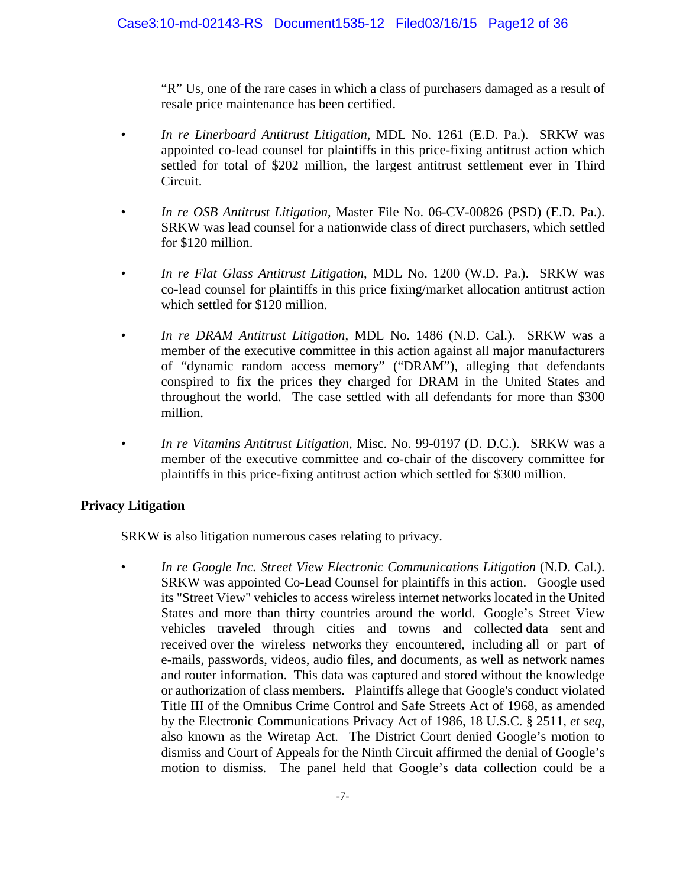"R" Us, one of the rare cases in which a class of purchasers damaged as a result of resale price maintenance has been certified.

- *In re Linerboard Antitrust Litigation*, MDL No. 1261 (E.D. Pa.). SRKW was appointed co-lead counsel for plaintiffs in this price-fixing antitrust action which settled for total of \$202 million, the largest antitrust settlement ever in Third Circuit.
- *In re OSB Antitrust Litigation*, Master File No. 06-CV-00826 (PSD) (E.D. Pa.). SRKW was lead counsel for a nationwide class of direct purchasers, which settled for \$120 million.
- *In re Flat Glass Antitrust Litigation*, MDL No. 1200 (W.D. Pa.). SRKW was co-lead counsel for plaintiffs in this price fixing/market allocation antitrust action which settled for \$120 million.
- *In re DRAM Antitrust Litigation*, MDL No. 1486 (N.D. Cal.). SRKW was a member of the executive committee in this action against all major manufacturers of "dynamic random access memory" ("DRAM"), alleging that defendants conspired to fix the prices they charged for DRAM in the United States and throughout the world. The case settled with all defendants for more than \$300 million.
- *In re Vitamins Antitrust Litigation*, Misc. No. 99-0197 (D. D.C.). SRKW was a member of the executive committee and co-chair of the discovery committee for plaintiffs in this price-fixing antitrust action which settled for \$300 million.

## **Privacy Litigation**

SRKW is also litigation numerous cases relating to privacy.

• *In re Google Inc. Street View Electronic Communications Litigation* (N.D. Cal.). SRKW was appointed Co-Lead Counsel for plaintiffs in this action. Google used its "Street View" vehicles to access wireless internet networks located in the United States and more than thirty countries around the world. Google's Street View vehicles traveled through cities and towns and collected data sent and received over the wireless networks they encountered, including all or part of e-mails, passwords, videos, audio files, and documents, as well as network names and router information. This data was captured and stored without the knowledge or authorization of class members. Plaintiffs allege that Google's conduct violated Title III of the Omnibus Crime Control and Safe Streets Act of 1968, as amended by the Electronic Communications Privacy Act of 1986, 18 U.S.C. § 2511, *et seq*, also known as the Wiretap Act. The District Court denied Google's motion to dismiss and Court of Appeals for the Ninth Circuit affirmed the denial of Google's motion to dismiss*.* The panel held that Google's data collection could be a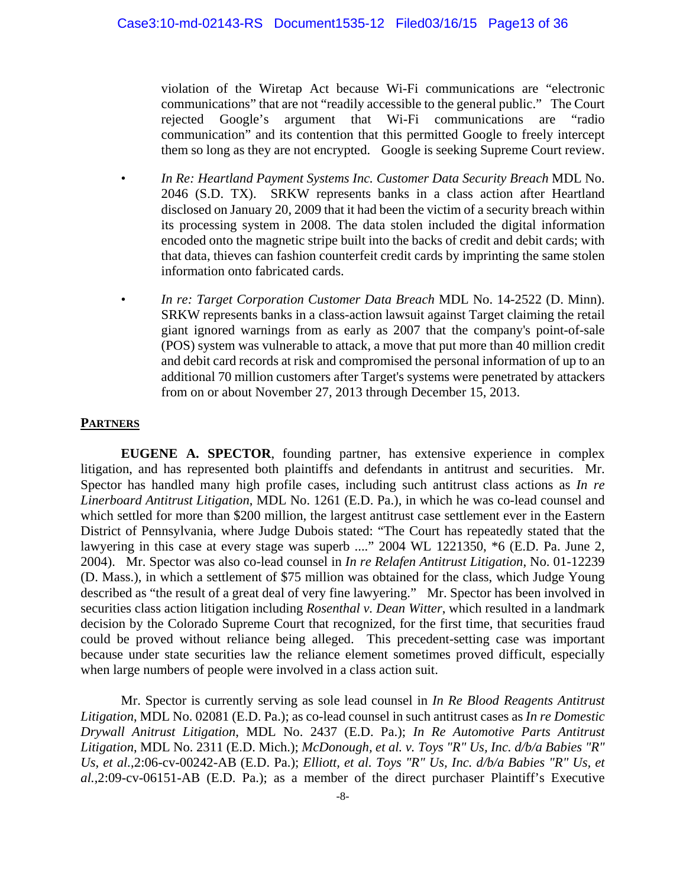violation of the Wiretap Act because Wi-Fi communications are "electronic communications" that are not "readily accessible to the general public." The Court rejected Google's argument that Wi-Fi communications are "radio communication" and its contention that this permitted Google to freely intercept them so long as they are not encrypted. Google is seeking Supreme Court review.

- *In Re: Heartland Payment Systems Inc. Customer Data Security Breach* MDL No. 2046 (S.D. TX). SRKW represents banks in a class action after Heartland disclosed on January 20, 2009 that it had been the victim of a security breach within its processing system in 2008. The data stolen included the digital information encoded onto the magnetic stripe built into the backs of credit and debit cards; with that data, thieves can fashion counterfeit credit cards by imprinting the same stolen information onto fabricated cards.
- *In re: Target Corporation Customer Data Breach* MDL No. 14-2522 (D. Minn). SRKW represents banks in a class-action lawsuit against Target claiming the retail giant ignored warnings from as early as 2007 that the company's point-of-sale (POS) system was vulnerable to attack, a move that put more than 40 million credit and debit card records at risk and compromised the personal information of up to an additional 70 million customers after Target's systems were penetrated by attackers from on or about November 27, 2013 through December 15, 2013.

#### **PARTNERS**

 **EUGENE A. SPECTOR**, founding partner, has extensive experience in complex litigation, and has represented both plaintiffs and defendants in antitrust and securities. Mr. Spector has handled many high profile cases, including such antitrust class actions as *In re Linerboard Antitrust Litigation*, MDL No. 1261 (E.D. Pa.), in which he was co-lead counsel and which settled for more than \$200 million, the largest antitrust case settlement ever in the Eastern District of Pennsylvania, where Judge Dubois stated: "The Court has repeatedly stated that the lawyering in this case at every stage was superb ...." 2004 WL 1221350, \*6 (E.D. Pa. June 2, 2004). Mr. Spector was also co-lead counsel in *In re Relafen Antitrust Litigation*, No. 01-12239 (D. Mass.), in which a settlement of \$75 million was obtained for the class, which Judge Young described as "the result of a great deal of very fine lawyering." Mr. Spector has been involved in securities class action litigation including *Rosenthal v. Dean Witter*, which resulted in a landmark decision by the Colorado Supreme Court that recognized, for the first time, that securities fraud could be proved without reliance being alleged. This precedent-setting case was important because under state securities law the reliance element sometimes proved difficult, especially when large numbers of people were involved in a class action suit.

 Mr. Spector is currently serving as sole lead counsel in *In Re Blood Reagents Antitrust Litigation*, MDL No. 02081 (E.D. Pa.); as co-lead counsel in such antitrust cases as *In re Domestic Drywall Anitrust Litigation*, MDL No. 2437 (E.D. Pa.); *In Re Automotive Parts Antitrust Litigation*, MDL No. 2311 (E.D. Mich.); *McDonough, et al. v. Toys "R" Us, Inc. d/b/a Babies "R" Us, et al.*,2:06-cv-00242-AB (E.D. Pa.); *Elliott, et al. Toys "R" Us, Inc. d/b/a Babies "R" Us, et al.*,2:09-cv-06151-AB (E.D. Pa.); as a member of the direct purchaser Plaintiff's Executive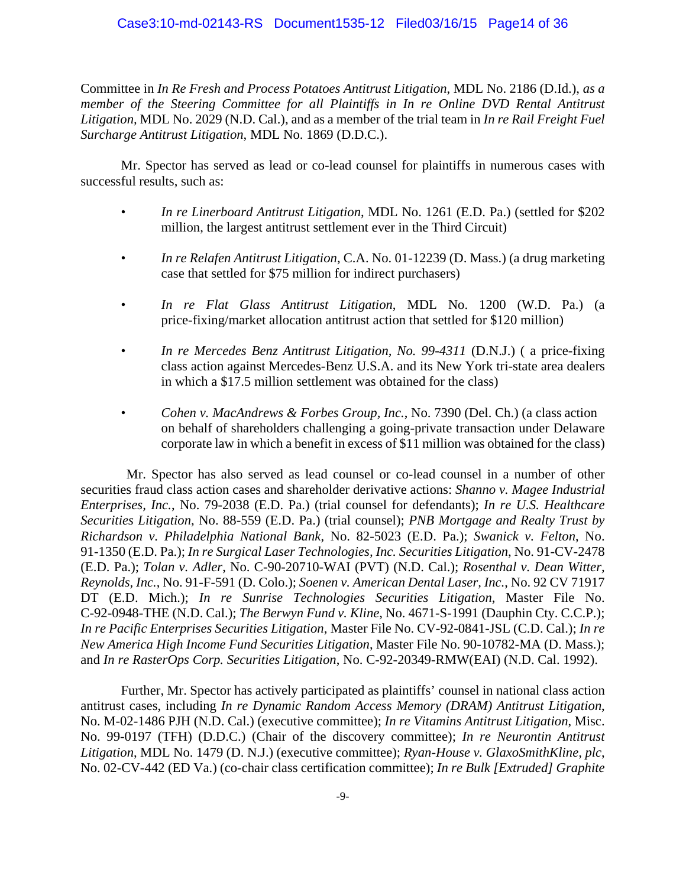#### Case3:10-md-02143-RS Document1535-12 Filed03/16/15 Page14 of 36

Committee in *In Re Fresh and Process Potatoes Antitrust Litigation*, MDL No. 2186 (D.Id.), *as a member of the Steering Committee for all Plaintiffs in In re Online DVD Rental Antitrust Litigation,* MDL No. 2029 (N.D. Cal.), and as a member of the trial team in *In re Rail Freight Fuel Surcharge Antitrust Litigation*, MDL No. 1869 (D.D.C.).

 Mr. Spector has served as lead or co-lead counsel for plaintiffs in numerous cases with successful results, such as:

- *In re Linerboard Antitrust Litigation*, MDL No. 1261 (E.D. Pa.) (settled for \$202 million, the largest antitrust settlement ever in the Third Circuit)
- *In re Relafen Antitrust Litigation*, C.A. No. 01-12239 (D. Mass.) (a drug marketing case that settled for \$75 million for indirect purchasers)
- *In re Flat Glass Antitrust Litigation*, MDL No. 1200 (W.D. Pa.) (a price-fixing/market allocation antitrust action that settled for \$120 million)
- *In re Mercedes Benz Antitrust Litigation, No. 99-4311* (D.N.J.) ( a price-fixing class action against Mercedes-Benz U.S.A. and its New York tri-state area dealers in which a \$17.5 million settlement was obtained for the class)
- *Cohen v. MacAndrews & Forbes Group, Inc.*, No. 7390 (Del. Ch.) (a class action on behalf of shareholders challenging a going-private transaction under Delaware corporate law in which a benefit in excess of \$11 million was obtained for the class)

Mr. Spector has also served as lead counsel or co-lead counsel in a number of other securities fraud class action cases and shareholder derivative actions: *Shanno v. Magee Industrial Enterprises, Inc.*, No. 79-2038 (E.D. Pa.) (trial counsel for defendants); *In re U.S. Healthcare Securities Litigation*, No. 88-559 (E.D. Pa.) (trial counsel); *PNB Mortgage and Realty Trust by Richardson v. Philadelphia National Bank*, No. 82-5023 (E.D. Pa.); *Swanick v. Felton*, No. 91-1350 (E.D. Pa.); *In re Surgical Laser Technologies, Inc. Securities Litigation*, No. 91-CV-2478 (E.D. Pa.); *Tolan v. Adler*, No. C-90-20710-WAI (PVT) (N.D. Cal.); *Rosenthal v. Dean Witter, Reynolds, Inc.*, No. 91-F-591 (D. Colo.); *Soenen v. American Dental Laser, Inc.*, No. 92 CV 71917 DT (E.D. Mich.); *In re Sunrise Technologies Securities Litigation*, Master File No. C-92-0948-THE (N.D. Cal.); *The Berwyn Fund v. Kline*, No. 4671-S-1991 (Dauphin Cty. C.C.P.); *In re Pacific Enterprises Securities Litigation*, Master File No. CV-92-0841-JSL (C.D. Cal.); *In re New America High Income Fund Securities Litigation*, Master File No. 90-10782-MA (D. Mass.); and *In re RasterOps Corp. Securities Litigation*, No. C-92-20349-RMW(EAI) (N.D. Cal. 1992).

 Further, Mr. Spector has actively participated as plaintiffs' counsel in national class action antitrust cases, including *In re Dynamic Random Access Memory (DRAM) Antitrust Litigation*, No. M-02-1486 PJH (N.D. Cal.) (executive committee); *In re Vitamins Antitrust Litigation*, Misc. No. 99-0197 (TFH) (D.D.C.) (Chair of the discovery committee); *In re Neurontin Antitrust Litigation*, MDL No. 1479 (D. N.J.) (executive committee); *Ryan-House v. GlaxoSmithKline, plc*, No. 02-CV-442 (ED Va.) (co-chair class certification committee); *In re Bulk [Extruded] Graphite*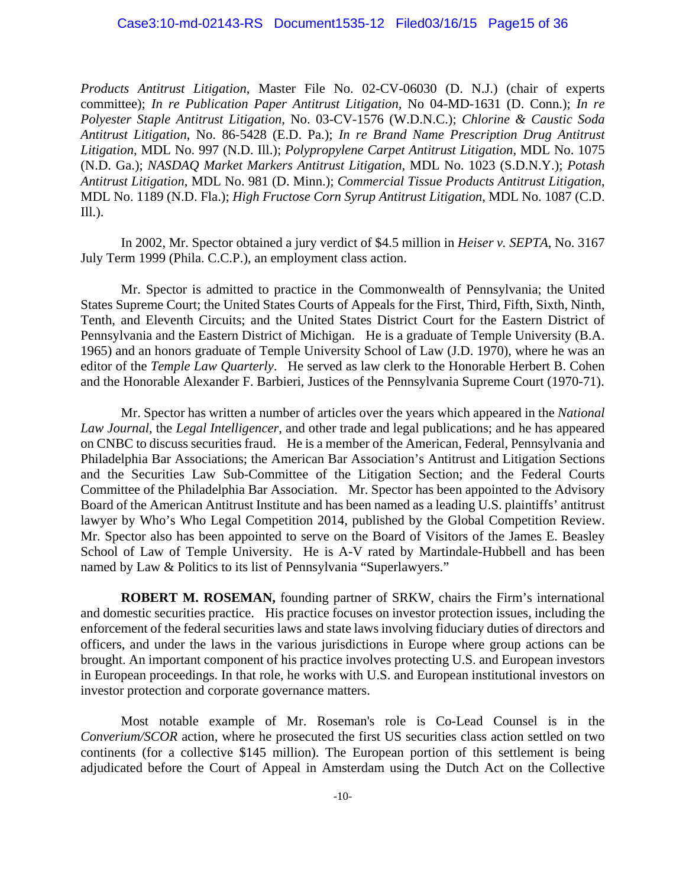*Products Antitrust Litigation*, Master File No. 02-CV-06030 (D. N.J.) (chair of experts committee); *In re Publication Paper Antitrust Litigation,* No 04-MD-1631 (D. Conn.); *In re Polyester Staple Antitrust Litigation,* No. 03-CV-1576 (W.D.N.C.); *Chlorine & Caustic Soda Antitrust Litigation*, No. 86-5428 (E.D. Pa.); *In re Brand Name Prescription Drug Antitrust Litigation*, MDL No. 997 (N.D. Ill.); *Polypropylene Carpet Antitrust Litigation,* MDL No. 1075 (N.D. Ga.); *NASDAQ Market Markers Antitrust Litigation,* MDL No. 1023 (S.D.N.Y.); *Potash Antitrust Litigation,* MDL No. 981 (D. Minn.); *Commercial Tissue Products Antitrust Litigation*, MDL No. 1189 (N.D. Fla.); *High Fructose Corn Syrup Antitrust Litigation*, MDL No. 1087 (C.D. Ill.).

 In 2002, Mr. Spector obtained a jury verdict of \$4.5 million in *Heiser v. SEPTA*, No. 3167 July Term 1999 (Phila. C.C.P.), an employment class action.

 Mr. Spector is admitted to practice in the Commonwealth of Pennsylvania; the United States Supreme Court; the United States Courts of Appeals for the First, Third, Fifth, Sixth, Ninth, Tenth, and Eleventh Circuits; and the United States District Court for the Eastern District of Pennsylvania and the Eastern District of Michigan. He is a graduate of Temple University (B.A. 1965) and an honors graduate of Temple University School of Law (J.D. 1970), where he was an editor of the *Temple Law Quarterly*. He served as law clerk to the Honorable Herbert B. Cohen and the Honorable Alexander F. Barbieri, Justices of the Pennsylvania Supreme Court (1970-71).

 Mr. Spector has written a number of articles over the years which appeared in the *National Law Journal*, the *Legal Intelligencer*, and other trade and legal publications; and he has appeared on CNBC to discuss securities fraud. He is a member of the American, Federal, Pennsylvania and Philadelphia Bar Associations; the American Bar Association's Antitrust and Litigation Sections and the Securities Law Sub-Committee of the Litigation Section; and the Federal Courts Committee of the Philadelphia Bar Association. Mr. Spector has been appointed to the Advisory Board of the American Antitrust Institute and has been named as a leading U.S. plaintiffs' antitrust lawyer by Who's Who Legal Competition 2014, published by the Global Competition Review. Mr. Spector also has been appointed to serve on the Board of Visitors of the James E. Beasley School of Law of Temple University. He is A-V rated by Martindale-Hubbell and has been named by Law & Politics to its list of Pennsylvania "Superlawyers."

**ROBERT M. ROSEMAN,** founding partner of SRKW, chairs the Firm's international and domestic securities practice. His practice focuses on investor protection issues, including the enforcement of the federal securities laws and state laws involving fiduciary duties of directors and officers, and under the laws in the various jurisdictions in Europe where group actions can be brought. An important component of his practice involves protecting U.S. and European investors in European proceedings. In that role, he works with U.S. and European institutional investors on investor protection and corporate governance matters.

 Most notable example of Mr. Roseman's role is Co-Lead Counsel is in the *Converium/SCOR* action, where he prosecuted the first US securities class action settled on two continents (for a collective \$145 million). The European portion of this settlement is being adjudicated before the Court of Appeal in Amsterdam using the Dutch Act on the Collective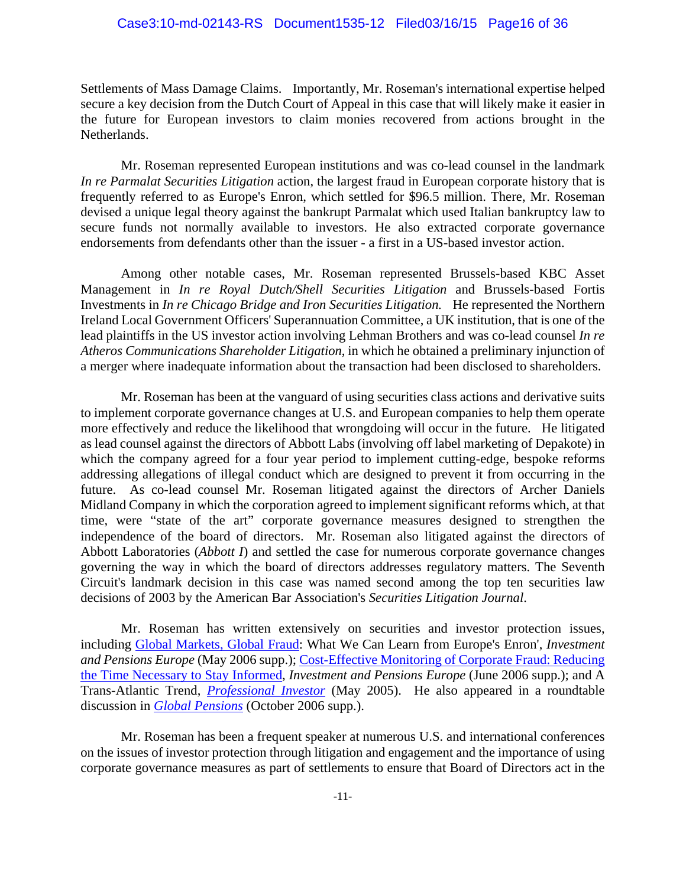Settlements of Mass Damage Claims. Importantly, Mr. Roseman's international expertise helped secure a key decision from the Dutch Court of Appeal in this case that will likely make it easier in the future for European investors to claim monies recovered from actions brought in the Netherlands.

 Mr. Roseman represented European institutions and was co-lead counsel in the landmark *In re Parmalat Securities Litigation* action, the largest fraud in European corporate history that is frequently referred to as Europe's Enron, which settled for \$96.5 million. There, Mr. Roseman devised a unique legal theory against the bankrupt Parmalat which used Italian bankruptcy law to secure funds not normally available to investors. He also extracted corporate governance endorsements from defendants other than the issuer - a first in a US-based investor action.

 Among other notable cases, Mr. Roseman represented Brussels-based KBC Asset Management in *In re Royal Dutch/Shell Securities Litigation* and Brussels-based Fortis Investments in *In re Chicago Bridge and Iron Securities Litigation.* He represented the Northern Ireland Local Government Officers' Superannuation Committee, a UK institution, that is one of the lead plaintiffs in the US investor action involving Lehman Brothers and was co-lead counsel *In re Atheros Communications Shareholder Litigation*, in which he obtained a preliminary injunction of a merger where inadequate information about the transaction had been disclosed to shareholders.

 Mr. Roseman has been at the vanguard of using securities class actions and derivative suits to implement corporate governance changes at U.S. and European companies to help them operate more effectively and reduce the likelihood that wrongdoing will occur in the future. He litigated as lead counsel against the directors of Abbott Labs (involving off label marketing of Depakote) in which the company agreed for a four year period to implement cutting-edge, bespoke reforms addressing allegations of illegal conduct which are designed to prevent it from occurring in the future. As co-lead counsel Mr. Roseman litigated against the directors of Archer Daniels Midland Company in which the corporation agreed to implement significant reforms which, at that time, were "state of the art" corporate governance measures designed to strengthen the independence of the board of directors. Mr. Roseman also litigated against the directors of Abbott Laboratories (*Abbott I*) and settled the case for numerous corporate governance changes governing the way in which the board of directors addresses regulatory matters. The Seventh Circuit's landmark decision in this case was named second among the top ten securities law decisions of 2003 by the American Bar Association's *Securities Litigation Journal*.

 Mr. Roseman has written extensively on securities and investor protection issues, including Global Markets, Global Fraud: What We Can Learn from Europe's Enron', *Investment and Pensions Europe* (May 2006 supp.); Cost-Effective Monitoring of Corporate Fraud: Reducing the Time Necessary to Stay Informed, *Investment and Pensions Europe* (June 2006 supp.); and A Trans-Atlantic Trend, *Professional Investor* (May 2005). He also appeared in a roundtable discussion in *Global Pensions* (October 2006 supp.).

 Mr. Roseman has been a frequent speaker at numerous U.S. and international conferences on the issues of investor protection through litigation and engagement and the importance of using corporate governance measures as part of settlements to ensure that Board of Directors act in the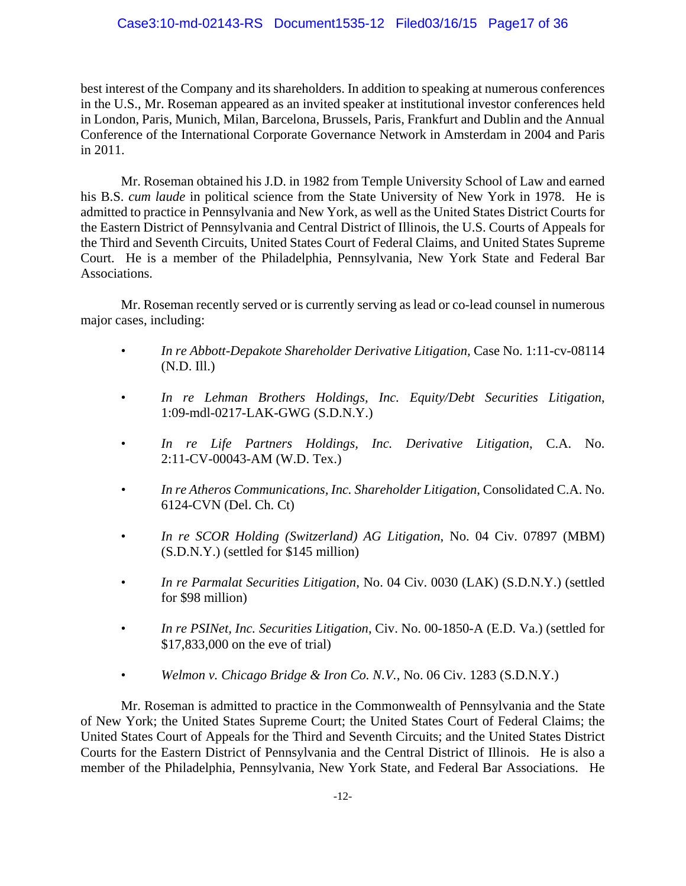best interest of the Company and its shareholders. In addition to speaking at numerous conferences in the U.S., Mr. Roseman appeared as an invited speaker at institutional investor conferences held in London, Paris, Munich, Milan, Barcelona, Brussels, Paris, Frankfurt and Dublin and the Annual Conference of the International Corporate Governance Network in Amsterdam in 2004 and Paris in 2011.

 Mr. Roseman obtained his J.D. in 1982 from Temple University School of Law and earned his B.S. *cum laude* in political science from the State University of New York in 1978. He is admitted to practice in Pennsylvania and New York, as well as the United States District Courts for the Eastern District of Pennsylvania and Central District of Illinois, the U.S. Courts of Appeals for the Third and Seventh Circuits, United States Court of Federal Claims, and United States Supreme Court. He is a member of the Philadelphia, Pennsylvania, New York State and Federal Bar Associations.

 Mr. Roseman recently served or is currently serving as lead or co-lead counsel in numerous major cases, including:

- *In re Abbott-Depakote Shareholder Derivative Litigation,* Case No. 1:11-cv-08114 (N.D. Ill.)
- *In re Lehman Brothers Holdings, Inc. Equity/Debt Securities Litigation*, 1:09-mdl-0217-LAK-GWG (S.D.N.Y.)
- *In re Life Partners Holdings, Inc. Derivative Litigation*, C.A. No. 2:11-CV-00043-AM (W.D. Tex.)
- *In re Atheros Communications, Inc. Shareholder Litigation*, Consolidated C.A. No. 6124-CVN (Del. Ch. Ct)
- *In re SCOR Holding (Switzerland) AG Litigation*, No. 04 Civ. 07897 (MBM) (S.D.N.Y.) (settled for \$145 million)
- *In re Parmalat Securities Litigation*, No. 04 Civ. 0030 (LAK) (S.D.N.Y.) (settled for \$98 million)
- *In re PSINet, Inc. Securities Litigation*, Civ. No. 00-1850-A (E.D. Va.) (settled for \$17,833,000 on the eve of trial)
- *Welmon v. Chicago Bridge & Iron Co. N.V.*, No. 06 Civ. 1283 (S.D.N.Y.)

 Mr. Roseman is admitted to practice in the Commonwealth of Pennsylvania and the State of New York; the United States Supreme Court; the United States Court of Federal Claims; the United States Court of Appeals for the Third and Seventh Circuits; and the United States District Courts for the Eastern District of Pennsylvania and the Central District of Illinois. He is also a member of the Philadelphia, Pennsylvania, New York State, and Federal Bar Associations. He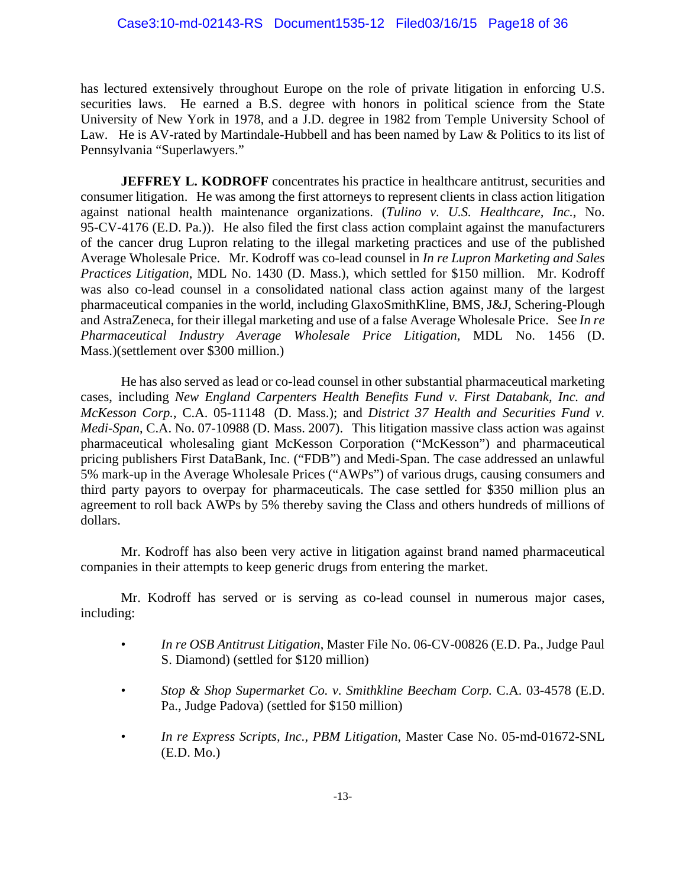has lectured extensively throughout Europe on the role of private litigation in enforcing U.S. securities laws. He earned a B.S. degree with honors in political science from the State University of New York in 1978, and a J.D. degree in 1982 from Temple University School of Law. He is AV-rated by Martindale-Hubbell and has been named by Law & Politics to its list of Pennsylvania "Superlawyers."

**JEFFREY L. KODROFF** concentrates his practice in healthcare antitrust, securities and consumer litigation. He was among the first attorneys to represent clients in class action litigation against national health maintenance organizations. (*Tulino v. U.S. Healthcare, Inc.*, No. 95-CV-4176 (E.D. Pa.)). He also filed the first class action complaint against the manufacturers of the cancer drug Lupron relating to the illegal marketing practices and use of the published Average Wholesale Price. Mr. Kodroff was co-lead counsel in *In re Lupron Marketing and Sales Practices Litigation*, MDL No. 1430 (D. Mass.), which settled for \$150 million. Mr. Kodroff was also co-lead counsel in a consolidated national class action against many of the largest pharmaceutical companies in the world, including GlaxoSmithKline, BMS, J&J, Schering-Plough and AstraZeneca, for their illegal marketing and use of a false Average Wholesale Price. See *In re Pharmaceutical Industry Average Wholesale Price Litigation*, MDL No. 1456 (D. Mass.)(settlement over \$300 million.)

 He has also served as lead or co-lead counsel in other substantial pharmaceutical marketing cases, including *New England Carpenters Health Benefits Fund v. First Databank, Inc. and McKesson Corp.*, C.A. 05-11148 (D. Mass.); and *District 37 Health and Securities Fund v. Medi-Span*, C.A. No. 07-10988 (D. Mass. 2007). This litigation massive class action was against pharmaceutical wholesaling giant McKesson Corporation ("McKesson") and pharmaceutical pricing publishers First DataBank, Inc. ("FDB") and Medi-Span. The case addressed an unlawful 5% mark-up in the Average Wholesale Prices ("AWPs") of various drugs, causing consumers and third party payors to overpay for pharmaceuticals. The case settled for \$350 million plus an agreement to roll back AWPs by 5% thereby saving the Class and others hundreds of millions of dollars.

 Mr. Kodroff has also been very active in litigation against brand named pharmaceutical companies in their attempts to keep generic drugs from entering the market.

 Mr. Kodroff has served or is serving as co-lead counsel in numerous major cases, including:

- *In re OSB Antitrust Litigation*, Master File No. 06-CV-00826 (E.D. Pa., Judge Paul S. Diamond) (settled for \$120 million)
- *Stop & Shop Supermarket Co. v. Smithkline Beecham Corp.* C.A. 03-4578 (E.D. Pa., Judge Padova) (settled for \$150 million)
- *In re Express Scripts, Inc., PBM Litigation*, Master Case No. 05-md-01672-SNL (E.D. Mo.)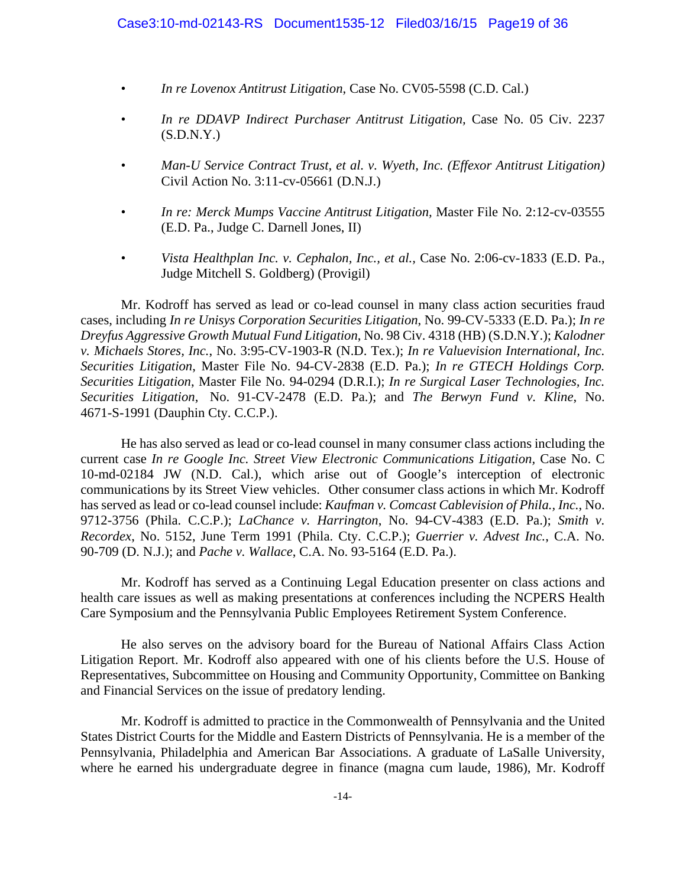- *In re Lovenox Antitrust Litigation*, Case No. CV05-5598 (C.D. Cal.)
- *In re DDAVP Indirect Purchaser Antitrust Litigation,* Case No. 05 Civ. 2237  $(S.D.N.Y.)$
- *Man-U Service Contract Trust, et al. v. Wyeth, Inc. (Effexor Antitrust Litigation)*  Civil Action No. 3:11-cv-05661 (D.N.J.)
- *In re: Merck Mumps Vaccine Antitrust Litigation, Master File No. 2:12-cv-03555* (E.D. Pa., Judge C. Darnell Jones, II)
- *Vista Healthplan Inc. v. Cephalon, Inc., et al.,* Case No. 2:06-cv-1833 (E.D. Pa., Judge Mitchell S. Goldberg) (Provigil)

 Mr. Kodroff has served as lead or co-lead counsel in many class action securities fraud cases, including *In re Unisys Corporation Securities Litigation*, No. 99-CV-5333 (E.D. Pa.); *In re Dreyfus Aggressive Growth Mutual Fund Litigation*, No. 98 Civ. 4318 (HB) (S.D.N.Y.); *Kalodner v. Michaels Stores, Inc.*, No. 3:95-CV-1903-R (N.D. Tex.); *In re Valuevision International, Inc. Securities Litigation*, Master File No. 94-CV-2838 (E.D. Pa.); *In re GTECH Holdings Corp. Securities Litigation*, Master File No. 94-0294 (D.R.I.); *In re Surgical Laser Technologies, Inc. Securities Litigation*, No. 91-CV-2478 (E.D. Pa.); and *The Berwyn Fund v. Kline*, No. 4671-S-1991 (Dauphin Cty. C.C.P.).

 He has also served as lead or co-lead counsel in many consumer class actions including the current case *In re Google Inc. Street View Electronic Communications Litigation,* Case No. C 10-md-02184 JW (N.D. Cal.), which arise out of Google's interception of electronic communications by its Street View vehicles. Other consumer class actions in which Mr. Kodroff has served as lead or co-lead counsel include: *Kaufman v. Comcast Cablevision of Phila., Inc.*, No. 9712-3756 (Phila. C.C.P.); *LaChance v. Harrington*, No. 94-CV-4383 (E.D. Pa.); *Smith v. Recordex*, No. 5152, June Term 1991 (Phila. Cty. C.C.P.); *Guerrier v. Advest Inc.*, C.A. No. 90-709 (D. N.J.); and *Pache v. Wallace*, C.A. No. 93-5164 (E.D. Pa.).

 Mr. Kodroff has served as a Continuing Legal Education presenter on class actions and health care issues as well as making presentations at conferences including the NCPERS Health Care Symposium and the Pennsylvania Public Employees Retirement System Conference.

 He also serves on the advisory board for the Bureau of National Affairs Class Action Litigation Report. Mr. Kodroff also appeared with one of his clients before the U.S. House of Representatives, Subcommittee on Housing and Community Opportunity, Committee on Banking and Financial Services on the issue of predatory lending.

 Mr. Kodroff is admitted to practice in the Commonwealth of Pennsylvania and the United States District Courts for the Middle and Eastern Districts of Pennsylvania. He is a member of the Pennsylvania, Philadelphia and American Bar Associations. A graduate of LaSalle University, where he earned his undergraduate degree in finance (magna cum laude, 1986), Mr. Kodroff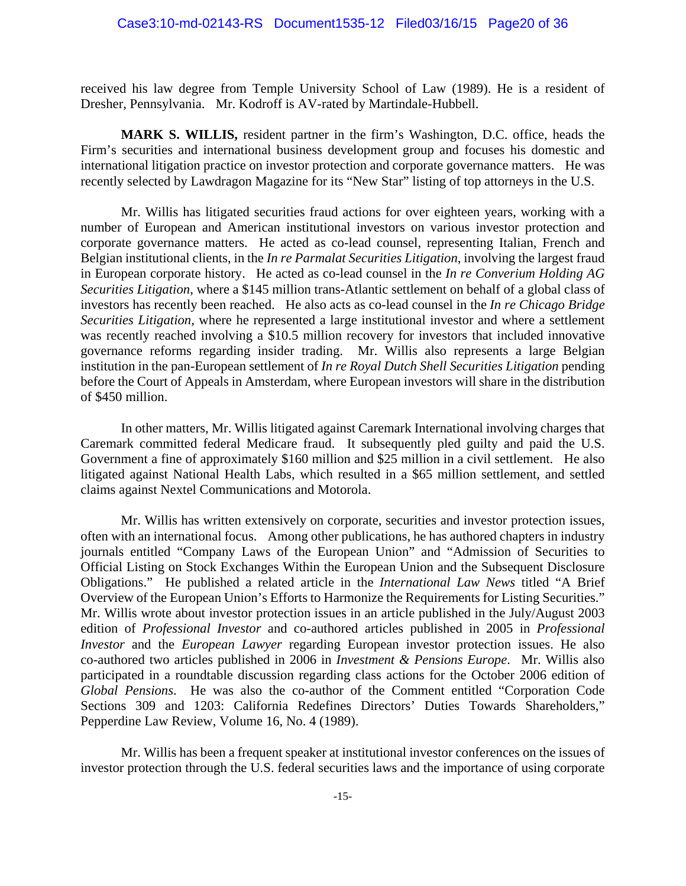received his law degree from Temple University School of Law (1989). He is a resident of Dresher, Pennsylvania. Mr. Kodroff is AV-rated by Martindale-Hubbell.

**MARK S. WILLIS,** resident partner in the firm's Washington, D.C. office, heads the Firm's securities and international business development group and focuses his domestic and international litigation practice on investor protection and corporate governance matters. He was recently selected by Lawdragon Magazine for its "New Star" listing of top attorneys in the U.S.

 Mr. Willis has litigated securities fraud actions for over eighteen years, working with a number of European and American institutional investors on various investor protection and corporate governance matters. He acted as co-lead counsel, representing Italian, French and Belgian institutional clients, in the *In re Parmalat Securities Litigation*, involving the largest fraud in European corporate history. He acted as co-lead counsel in the *In re Converium Holding AG Securities Litigation*, where a \$145 million trans-Atlantic settlement on behalf of a global class of investors has recently been reached. He also acts as co-lead counsel in the *In re Chicago Bridge Securities Litigation*, where he represented a large institutional investor and where a settlement was recently reached involving a \$10.5 million recovery for investors that included innovative governance reforms regarding insider trading. Mr. Willis also represents a large Belgian institution in the pan-European settlement of *In re Royal Dutch Shell Securities Litigation* pending before the Court of Appeals in Amsterdam, where European investors will share in the distribution of \$450 million.

 In other matters, Mr. Willis litigated against Caremark International involving charges that Caremark committed federal Medicare fraud. It subsequently pled guilty and paid the U.S. Government a fine of approximately \$160 million and \$25 million in a civil settlement. He also litigated against National Health Labs, which resulted in a \$65 million settlement, and settled claims against Nextel Communications and Motorola.

 Mr. Willis has written extensively on corporate, securities and investor protection issues, often with an international focus. Among other publications, he has authored chapters in industry journals entitled "Company Laws of the European Union" and "Admission of Securities to Official Listing on Stock Exchanges Within the European Union and the Subsequent Disclosure Obligations." He published a related article in the *International Law News* titled "A Brief Overview of the European Union's Efforts to Harmonize the Requirements for Listing Securities." Mr. Willis wrote about investor protection issues in an article published in the July/August 2003 edition of *Professional Investor* and co-authored articles published in 2005 in *Professional Investor* and the *European Lawyer* regarding European investor protection issues. He also co-authored two articles published in 2006 in *Investment & Pensions Europe*. Mr. Willis also participated in a roundtable discussion regarding class actions for the October 2006 edition of *Global Pensions*. He was also the co-author of the Comment entitled "Corporation Code Sections 309 and 1203: California Redefines Directors' Duties Towards Shareholders," Pepperdine Law Review, Volume 16, No. 4 (1989).

 Mr. Willis has been a frequent speaker at institutional investor conferences on the issues of investor protection through the U.S. federal securities laws and the importance of using corporate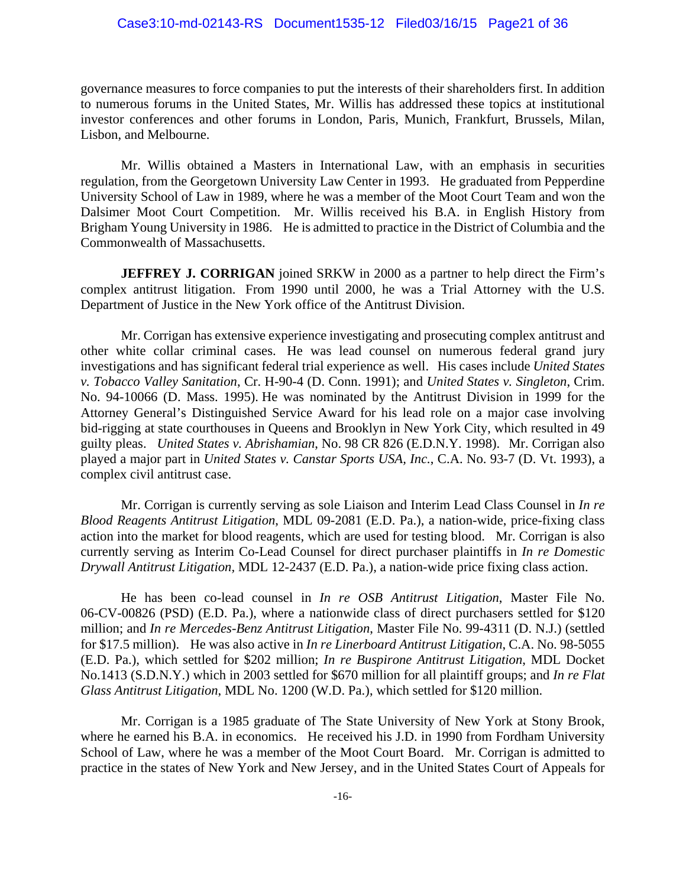#### Case3:10-md-02143-RS Document1535-12 Filed03/16/15 Page21 of 36

governance measures to force companies to put the interests of their shareholders first. In addition to numerous forums in the United States, Mr. Willis has addressed these topics at institutional investor conferences and other forums in London, Paris, Munich, Frankfurt, Brussels, Milan, Lisbon, and Melbourne.

 Mr. Willis obtained a Masters in International Law, with an emphasis in securities regulation, from the Georgetown University Law Center in 1993. He graduated from Pepperdine University School of Law in 1989, where he was a member of the Moot Court Team and won the Dalsimer Moot Court Competition. Mr. Willis received his B.A. in English History from Brigham Young University in 1986. He is admitted to practice in the District of Columbia and the Commonwealth of Massachusetts.

**JEFFREY J. CORRIGAN** joined SRKW in 2000 as a partner to help direct the Firm's complex antitrust litigation. From 1990 until 2000, he was a Trial Attorney with the U.S. Department of Justice in the New York office of the Antitrust Division.

 Mr. Corrigan has extensive experience investigating and prosecuting complex antitrust and other white collar criminal cases. He was lead counsel on numerous federal grand jury investigations and has significant federal trial experience as well. His cases include *United States v. Tobacco Valley Sanitation*, Cr. H-90-4 (D. Conn. 1991); and *United States v. Singleton*, Crim. No. 94-10066 (D. Mass. 1995). He was nominated by the Antitrust Division in 1999 for the Attorney General's Distinguished Service Award for his lead role on a major case involving bid-rigging at state courthouses in Queens and Brooklyn in New York City, which resulted in 49 guilty pleas. *United States v. Abrishamian*, No. 98 CR 826 (E.D.N.Y. 1998). Mr. Corrigan also played a major part in *United States v. Canstar Sports USA, Inc.*, C.A. No. 93-7 (D. Vt. 1993), a complex civil antitrust case.

 Mr. Corrigan is currently serving as sole Liaison and Interim Lead Class Counsel in *In re Blood Reagents Antitrust Litigation*, MDL 09-2081 (E.D. Pa.), a nation-wide, price-fixing class action into the market for blood reagents, which are used for testing blood. Mr. Corrigan is also currently serving as Interim Co-Lead Counsel for direct purchaser plaintiffs in *In re Domestic Drywall Antitrust Litigation,* MDL 12-2437 (E.D. Pa.), a nation-wide price fixing class action.

 He has been co-lead counsel in *In re OSB Antitrust Litigation*, Master File No. 06-CV-00826 (PSD) (E.D. Pa.), where a nationwide class of direct purchasers settled for \$120 million; and *In re Mercedes-Benz Antitrust Litigation*, Master File No. 99-4311 (D. N.J.) (settled for \$17.5 million). He was also active in *In re Linerboard Antitrust Litigation*, C.A. No. 98-5055 (E.D. Pa.), which settled for \$202 million; *In re Buspirone Antitrust Litigation*, MDL Docket No.1413 (S.D.N.Y.) which in 2003 settled for \$670 million for all plaintiff groups; and *In re Flat Glass Antitrust Litigation*, MDL No. 1200 (W.D. Pa.), which settled for \$120 million.

 Mr. Corrigan is a 1985 graduate of The State University of New York at Stony Brook, where he earned his B.A. in economics. He received his J.D. in 1990 from Fordham University School of Law, where he was a member of the Moot Court Board. Mr. Corrigan is admitted to practice in the states of New York and New Jersey, and in the United States Court of Appeals for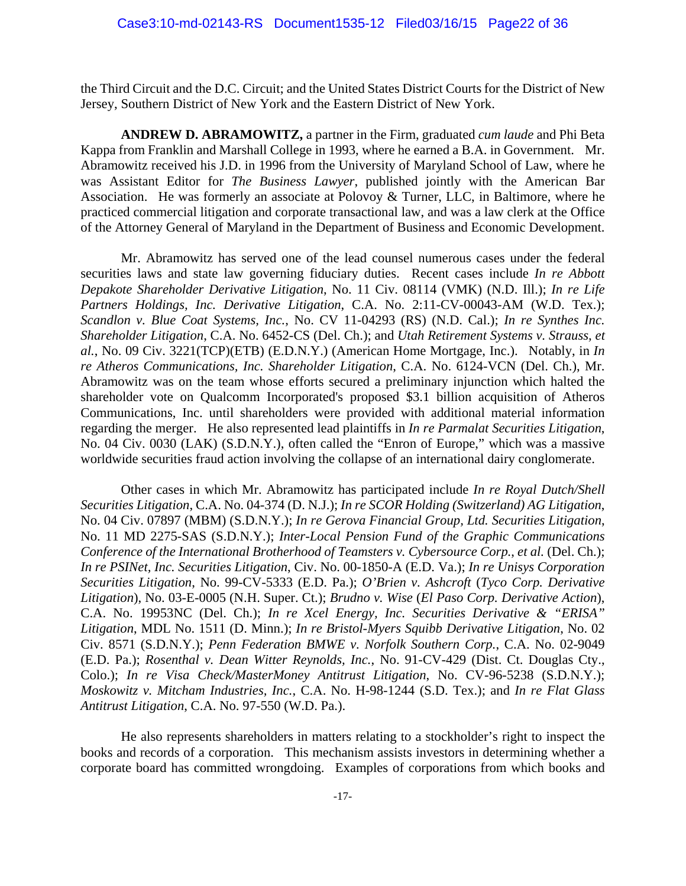the Third Circuit and the D.C. Circuit; and the United States District Courts for the District of New Jersey, Southern District of New York and the Eastern District of New York.

**ANDREW D. ABRAMOWITZ,** a partner in the Firm, graduated *cum laude* and Phi Beta Kappa from Franklin and Marshall College in 1993, where he earned a B.A. in Government. Mr. Abramowitz received his J.D. in 1996 from the University of Maryland School of Law, where he was Assistant Editor for *The Business Lawyer*, published jointly with the American Bar Association. He was formerly an associate at Polovoy & Turner, LLC, in Baltimore, where he practiced commercial litigation and corporate transactional law, and was a law clerk at the Office of the Attorney General of Maryland in the Department of Business and Economic Development.

 Mr. Abramowitz has served one of the lead counsel numerous cases under the federal securities laws and state law governing fiduciary duties. Recent cases include *In re Abbott Depakote Shareholder Derivative Litigation*, No. 11 Civ. 08114 (VMK) (N.D. Ill.); *In re Life Partners Holdings, Inc. Derivative Litigation*, C.A. No. 2:11-CV-00043-AM (W.D. Tex.); *Scandlon v. Blue Coat Systems, Inc.*, No. CV 11-04293 (RS) (N.D. Cal.); *In re Synthes Inc. Shareholder Litigation*, C.A. No. 6452-CS (Del. Ch.); and *Utah Retirement Systems v. Strauss, et al.*, No. 09 Civ. 3221(TCP)(ETB) (E.D.N.Y.) (American Home Mortgage, Inc.). Notably, in *In re Atheros Communications, Inc. Shareholder Litigation*, C.A. No. 6124-VCN (Del. Ch.), Mr. Abramowitz was on the team whose efforts secured a preliminary injunction which halted the shareholder vote on Qualcomm Incorporated's proposed \$3.1 billion acquisition of Atheros Communications, Inc. until shareholders were provided with additional material information regarding the merger. He also represented lead plaintiffs in *In re Parmalat Securities Litigation*, No. 04 Civ. 0030 (LAK) (S.D.N.Y.), often called the "Enron of Europe," which was a massive worldwide securities fraud action involving the collapse of an international dairy conglomerate.

 Other cases in which Mr. Abramowitz has participated include *In re Royal Dutch/Shell Securities Litigation*, C.A. No. 04-374 (D. N.J.); *In re SCOR Holding (Switzerland) AG Litigation*, No. 04 Civ. 07897 (MBM) (S.D.N.Y.); *In re Gerova Financial Group, Ltd. Securities Litigation*, No. 11 MD 2275-SAS (S.D.N.Y.); *Inter-Local Pension Fund of the Graphic Communications Conference of the International Brotherhood of Teamsters v. Cybersource Corp.*, *et al.* (Del. Ch.); *In re PSINet, Inc. Securities Litigation*, Civ. No. 00-1850-A (E.D. Va.); *In re Unisys Corporation Securities Litigation*, No. 99-CV-5333 (E.D. Pa.); *O'Brien v. Ashcroft* (*Tyco Corp. Derivative Litigation*), No. 03-E-0005 (N.H. Super. Ct.); *Brudno v. Wise* (*El Paso Corp. Derivative Action*), C.A. No. 19953NC (Del. Ch.); *In re Xcel Energy, Inc. Securities Derivative & "ERISA" Litigation*, MDL No. 1511 (D. Minn.); *In re Bristol-Myers Squibb Derivative Litigation*, No. 02 Civ. 8571 (S.D.N.Y.); *Penn Federation BMWE v. Norfolk Southern Corp.*, C.A. No. 02-9049 (E.D. Pa.); *Rosenthal v. Dean Witter Reynolds, Inc.*, No. 91-CV-429 (Dist. Ct. Douglas Cty., Colo.); *In re Visa Check/MasterMoney Antitrust Litigation*, No. CV-96-5238 (S.D.N.Y.); *Moskowitz v. Mitcham Industries, Inc.*, C.A. No. H-98-1244 (S.D. Tex.); and *In re Flat Glass Antitrust Litigation*, C.A. No. 97-550 (W.D. Pa.).

 He also represents shareholders in matters relating to a stockholder's right to inspect the books and records of a corporation. This mechanism assists investors in determining whether a corporate board has committed wrongdoing. Examples of corporations from which books and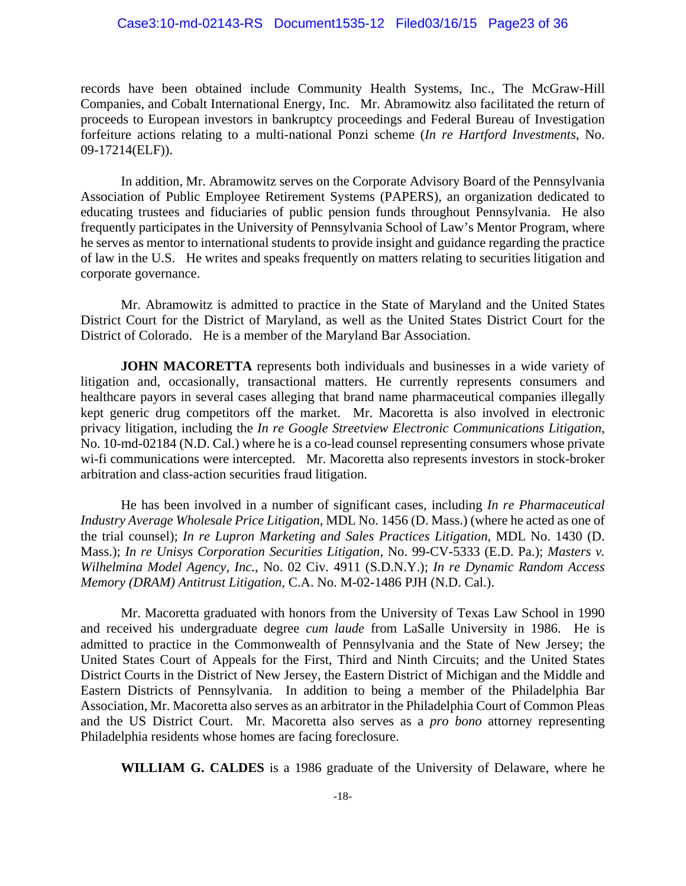records have been obtained include Community Health Systems, Inc., The McGraw-Hill Companies, and Cobalt International Energy, Inc. Mr. Abramowitz also facilitated the return of proceeds to European investors in bankruptcy proceedings and Federal Bureau of Investigation forfeiture actions relating to a multi-national Ponzi scheme (*In re Hartford Investments*, No. 09-17214(ELF)).

 In addition, Mr. Abramowitz serves on the Corporate Advisory Board of the Pennsylvania Association of Public Employee Retirement Systems (PAPERS), an organization dedicated to educating trustees and fiduciaries of public pension funds throughout Pennsylvania. He also frequently participates in the University of Pennsylvania School of Law's Mentor Program, where he serves as mentor to international students to provide insight and guidance regarding the practice of law in the U.S. He writes and speaks frequently on matters relating to securities litigation and corporate governance.

 Mr. Abramowitz is admitted to practice in the State of Maryland and the United States District Court for the District of Maryland, as well as the United States District Court for the District of Colorado. He is a member of the Maryland Bar Association.

**JOHN MACORETTA** represents both individuals and businesses in a wide variety of litigation and, occasionally, transactional matters. He currently represents consumers and healthcare payors in several cases alleging that brand name pharmaceutical companies illegally kept generic drug competitors off the market. Mr. Macoretta is also involved in electronic privacy litigation, including the *In re Google Streetview Electronic Communications Litigation*, No. 10-md-02184 (N.D. Cal.) where he is a co-lead counsel representing consumers whose private wi-fi communications were intercepted. Mr. Macoretta also represents investors in stock-broker arbitration and class-action securities fraud litigation.

 He has been involved in a number of significant cases, including *In re Pharmaceutical Industry Average Wholesale Price Litigation*, MDL No. 1456 (D. Mass.) (where he acted as one of the trial counsel); *In re Lupron Marketing and Sales Practices Litigation*, MDL No. 1430 (D. Mass.); *In re Unisys Corporation Securities Litigation*, No. 99-CV-5333 (E.D. Pa.); *Masters v. Wilhelmina Model Agency, Inc.*, No. 02 Civ. 4911 (S.D.N.Y.); *In re Dynamic Random Access Memory (DRAM) Antitrust Litigation*, C.A. No. M-02-1486 PJH (N.D. Cal.).

 Mr. Macoretta graduated with honors from the University of Texas Law School in 1990 and received his undergraduate degree *cum laude* from LaSalle University in 1986. He is admitted to practice in the Commonwealth of Pennsylvania and the State of New Jersey; the United States Court of Appeals for the First, Third and Ninth Circuits; and the United States District Courts in the District of New Jersey, the Eastern District of Michigan and the Middle and Eastern Districts of Pennsylvania. In addition to being a member of the Philadelphia Bar Association, Mr. Macoretta also serves as an arbitrator in the Philadelphia Court of Common Pleas and the US District Court. Mr. Macoretta also serves as a *pro bono* attorney representing Philadelphia residents whose homes are facing foreclosure.

 **WILLIAM G. CALDES** is a 1986 graduate of the University of Delaware, where he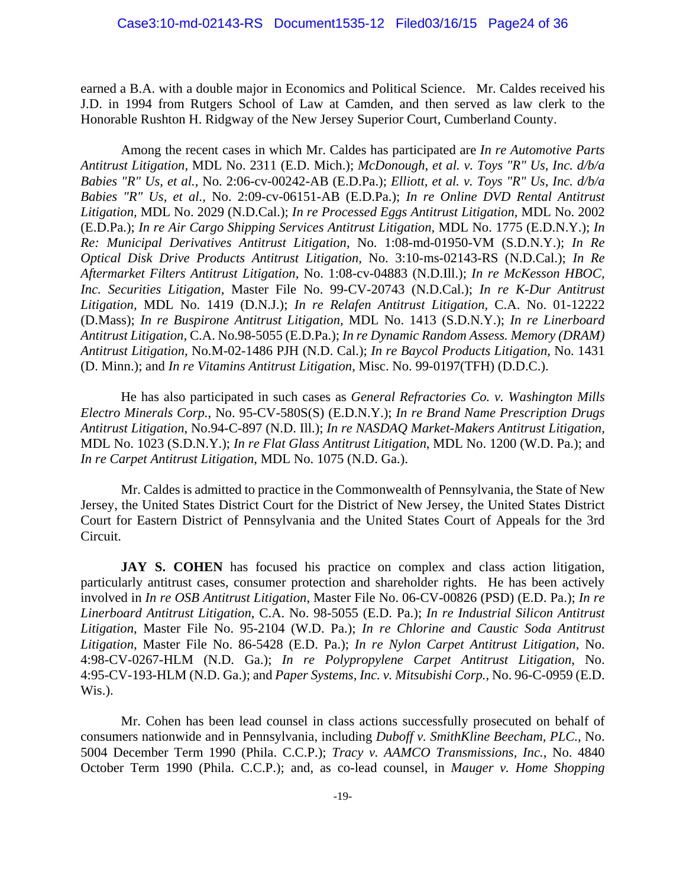earned a B.A. with a double major in Economics and Political Science. Mr. Caldes received his J.D. in 1994 from Rutgers School of Law at Camden, and then served as law clerk to the Honorable Rushton H. Ridgway of the New Jersey Superior Court, Cumberland County.

Among the recent cases in which Mr. Caldes has participated are *In re Automotive Parts Antitrust Litigation,* MDL No. 2311 (E.D. Mich.); *McDonough, et al. v. Toys "R" Us, Inc. d/b/a Babies "R" Us, et al.,* No. 2:06-cv-00242-AB (E.D.Pa.); *Elliott, et al. v. Toys "R" Us, Inc. d/b/a Babies "R" Us, et al.,* No. 2:09-cv-06151-AB (E.D.Pa.); *In re Online DVD Rental Antitrust Litigation,* MDL No. 2029 (N.D.Cal.); *In re Processed Eggs Antitrust Litigation,* MDL No. 2002 (E.D.Pa.); *In re Air Cargo Shipping Services Antitrust Litigation,* MDL No. 1775 (E.D.N.Y.); *In Re: Municipal Derivatives Antitrust Litigation,* No. 1:08-md-01950-VM (S.D.N.Y.); *In Re Optical Disk Drive Products Antitrust Litigation,* No. 3:10-ms-02143-RS (N.D.Cal.); *In Re Aftermarket Filters Antitrust Litigation,* No. 1:08-cv-04883 (N.D.Ill.); *In re McKesson HBOC, Inc. Securities Litigation,* Master File No. 99-CV-20743 (N.D.Cal.); *In re K-Dur Antitrust Litigation,* MDL No. 1419 (D.N.J.); *In re Relafen Antitrust Litigation,* C.A. No. 01-12222 (D.Mass); *In re Buspirone Antitrust Litigation,* MDL No. 1413 (S.D.N.Y.); *In re Linerboard Antitrust Litigation,* C.A. No.98-5055 (E.D.Pa.); *In re Dynamic Random Assess. Memory (DRAM) Antitrust Litigation,* No.M-02-1486 PJH (N.D. Cal.); *In re Baycol Products Litigation,* No. 1431 (D. Minn.); and *In re Vitamins Antitrust Litigation,* Misc. No. 99-0197(TFH) (D.D.C.).

 He has also participated in such cases as *General Refractories Co. v. Washington Mills Electro Minerals Corp.*, No. 95-CV-580S(S) (E.D.N.Y.); *In re Brand Name Prescription Drugs Antitrust Litigation*, No.94-C-897 (N.D. Ill.); *In re NASDAQ Market-Makers Antitrust Litigation,* MDL No. 1023 (S.D.N.Y.); *In re Flat Glass Antitrust Litigation*, MDL No. 1200 (W.D. Pa.); and *In re Carpet Antitrust Litigation*, MDL No. 1075 (N.D. Ga.).

 Mr. Caldes is admitted to practice in the Commonwealth of Pennsylvania, the State of New Jersey, the United States District Court for the District of New Jersey, the United States District Court for Eastern District of Pennsylvania and the United States Court of Appeals for the 3rd Circuit.

**JAY S. COHEN** has focused his practice on complex and class action litigation, particularly antitrust cases, consumer protection and shareholder rights. He has been actively involved in *In re OSB Antitrust Litigation*, Master File No. 06-CV-00826 (PSD) (E.D. Pa.); *In re Linerboard Antitrust Litigation*, C.A. No. 98-5055 (E.D. Pa.); *In re Industrial Silicon Antitrust Litigation*, Master File No. 95-2104 (W.D. Pa.); *In re Chlorine and Caustic Soda Antitrust Litigation*, Master File No. 86-5428 (E.D. Pa.); *In re Nylon Carpet Antitrust Litigation*, No. 4:98-CV-0267-HLM (N.D. Ga.); *In re Polypropylene Carpet Antitrust Litigation*, No. 4:95-CV-193-HLM (N.D. Ga.); and *Paper Systems, Inc. v. Mitsubishi Corp.*, No. 96-C-0959 (E.D. Wis.).

 Mr. Cohen has been lead counsel in class actions successfully prosecuted on behalf of consumers nationwide and in Pennsylvania, including *Duboff v. SmithKline Beecham, PLC.*, No. 5004 December Term 1990 (Phila. C.C.P.); *Tracy v. AAMCO Transmissions, Inc.*, No. 4840 October Term 1990 (Phila. C.C.P.); and, as co-lead counsel, in *Mauger v. Home Shopping*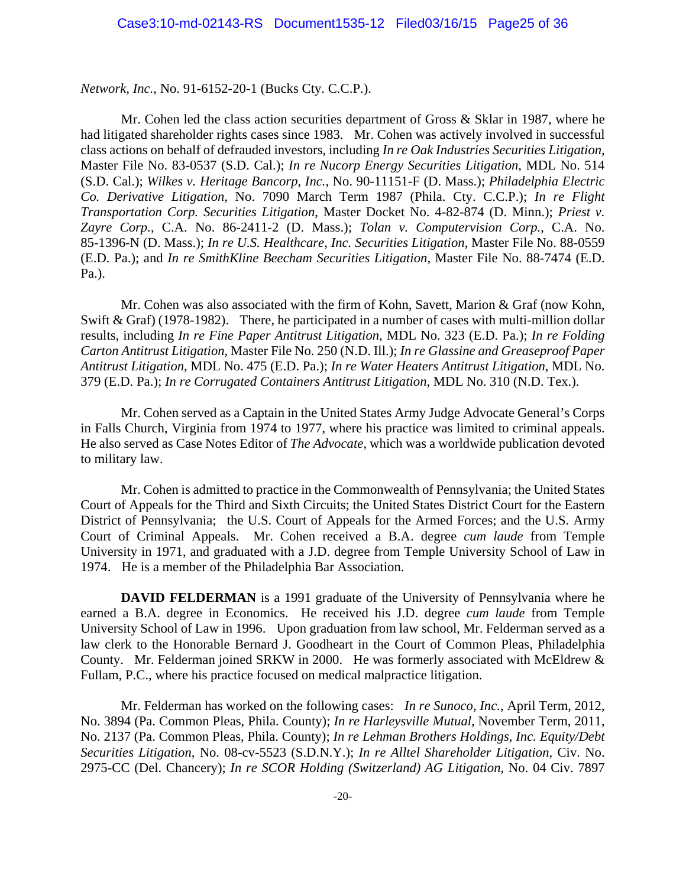*Network, Inc.*, No. 91-6152-20-1 (Bucks Cty. C.C.P.).

 Mr. Cohen led the class action securities department of Gross & Sklar in 1987, where he had litigated shareholder rights cases since 1983. Mr. Cohen was actively involved in successful class actions on behalf of defrauded investors, including *In re Oak Industries Securities Litigation*, Master File No. 83-0537 (S.D. Cal.); *In re Nucorp Energy Securities Litigation*, MDL No. 514 (S.D. Cal.); *Wilkes v. Heritage Bancorp, Inc.*, No. 90-11151-F (D. Mass.); *Philadelphia Electric Co. Derivative Litigation*, No. 7090 March Term 1987 (Phila. Cty. C.C.P.); *In re Flight Transportation Corp. Securities Litigation*, Master Docket No. 4-82-874 (D. Minn.); *Priest v. Zayre Corp.*, C.A. No. 86-2411-2 (D. Mass.); *Tolan v. Computervision Corp.*, C.A. No. 85-1396-N (D. Mass.); *In re U.S. Healthcare, Inc. Securities Litigation*, Master File No. 88-0559 (E.D. Pa.); and *In re SmithKline Beecham Securities Litigation*, Master File No. 88-7474 (E.D. Pa.).

 Mr. Cohen was also associated with the firm of Kohn, Savett, Marion & Graf (now Kohn, Swift & Graf) (1978-1982). There, he participated in a number of cases with multi-million dollar results, including *In re Fine Paper Antitrust Litigation*, MDL No. 323 (E.D. Pa.); *In re Folding Carton Antitrust Litigation*, Master File No. 250 (N.D. Ill.); *In re Glassine and Greaseproof Paper Antitrust Litigation*, MDL No. 475 (E.D. Pa.); *In re Water Heaters Antitrust Litigation*, MDL No. 379 (E.D. Pa.); *In re Corrugated Containers Antitrust Litigation*, MDL No. 310 (N.D. Tex.).

 Mr. Cohen served as a Captain in the United States Army Judge Advocate General's Corps in Falls Church, Virginia from 1974 to 1977, where his practice was limited to criminal appeals. He also served as Case Notes Editor of *The Advocate*, which was a worldwide publication devoted to military law.

 Mr. Cohen is admitted to practice in the Commonwealth of Pennsylvania; the United States Court of Appeals for the Third and Sixth Circuits; the United States District Court for the Eastern District of Pennsylvania; the U.S. Court of Appeals for the Armed Forces; and the U.S. Army Court of Criminal Appeals. Mr. Cohen received a B.A. degree *cum laude* from Temple University in 1971, and graduated with a J.D. degree from Temple University School of Law in 1974. He is a member of the Philadelphia Bar Association.

**DAVID FELDERMAN** is a 1991 graduate of the University of Pennsylvania where he earned a B.A. degree in Economics. He received his J.D. degree *cum laude* from Temple University School of Law in 1996. Upon graduation from law school, Mr. Felderman served as a law clerk to the Honorable Bernard J. Goodheart in the Court of Common Pleas, Philadelphia County. Mr. Felderman joined SRKW in 2000. He was formerly associated with McEldrew & Fullam, P.C., where his practice focused on medical malpractice litigation.

 Mr. Felderman has worked on the following cases: *In re Sunoco, Inc.*, April Term, 2012, No. 3894 (Pa. Common Pleas, Phila. County); *In re Harleysville Mutual,* November Term, 2011, No. 2137 (Pa. Common Pleas, Phila. County); *In re Lehman Brothers Holdings, Inc. Equity/Debt Securities Litigation*, No. 08-cv-5523 (S.D.N.Y.); *In re Alltel Shareholder Litigation*, Civ. No. 2975-CC (Del. Chancery); *In re SCOR Holding (Switzerland) AG Litigation*, No. 04 Civ. 7897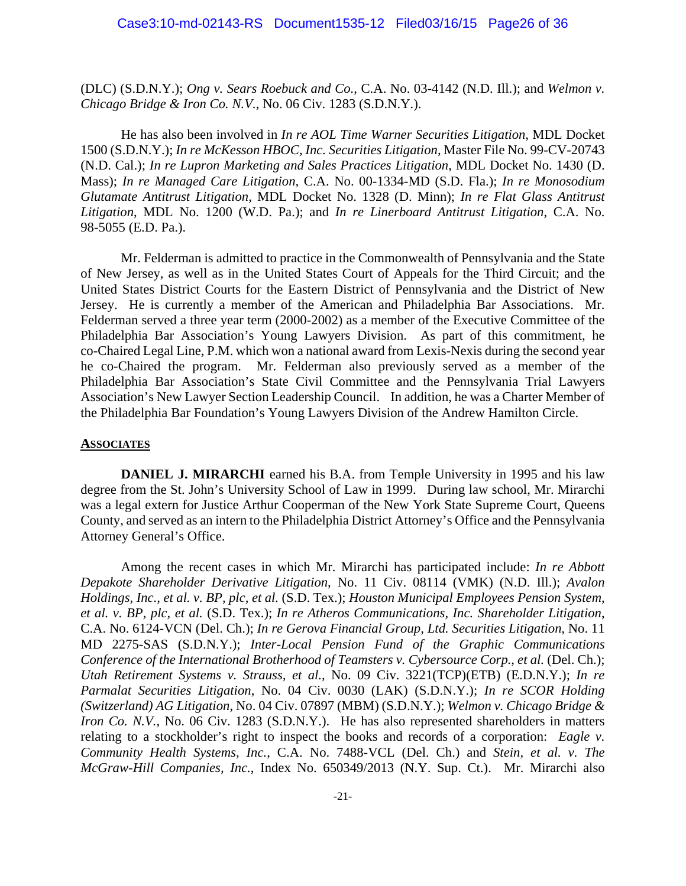(DLC) (S.D.N.Y.); *Ong v. Sears Roebuck and Co.*, C.A. No. 03-4142 (N.D. Ill.); and *Welmon v. Chicago Bridge & Iron Co. N.V.*, No. 06 Civ. 1283 (S.D.N.Y.).

 He has also been involved in *In re AOL Time Warner Securities Litigation*, MDL Docket 1500 (S.D.N.Y.); *In re McKesson HBOC, Inc. Securities Litigation,* Master File No. 99-CV-20743 (N.D. Cal.); *In re Lupron Marketing and Sales Practices Litigation*, MDL Docket No. 1430 (D. Mass); *In re Managed Care Litigation,* C.A. No. 00-1334-MD (S.D. Fla.); *In re Monosodium Glutamate Antitrust Litigation,* MDL Docket No. 1328 (D. Minn); *In re Flat Glass Antitrust Litigation*, MDL No. 1200 (W.D. Pa.); and *In re Linerboard Antitrust Litigation*, C.A. No. 98-5055 (E.D. Pa.).

 Mr. Felderman is admitted to practice in the Commonwealth of Pennsylvania and the State of New Jersey, as well as in the United States Court of Appeals for the Third Circuit; and the United States District Courts for the Eastern District of Pennsylvania and the District of New Jersey. He is currently a member of the American and Philadelphia Bar Associations. Mr. Felderman served a three year term (2000-2002) as a member of the Executive Committee of the Philadelphia Bar Association's Young Lawyers Division. As part of this commitment, he co-Chaired Legal Line, P.M. which won a national award from Lexis-Nexis during the second year he co-Chaired the program. Mr. Felderman also previously served as a member of the Philadelphia Bar Association's State Civil Committee and the Pennsylvania Trial Lawyers Association's New Lawyer Section Leadership Council. In addition, he was a Charter Member of the Philadelphia Bar Foundation's Young Lawyers Division of the Andrew Hamilton Circle.

#### **ASSOCIATES**

**DANIEL J. MIRARCHI** earned his B.A. from Temple University in 1995 and his law degree from the St. John's University School of Law in 1999. During law school, Mr. Mirarchi was a legal extern for Justice Arthur Cooperman of the New York State Supreme Court, Queens County, and served as an intern to the Philadelphia District Attorney's Office and the Pennsylvania Attorney General's Office.

 Among the recent cases in which Mr. Mirarchi has participated include: *In re Abbott Depakote Shareholder Derivative Litigation*, No. 11 Civ. 08114 (VMK) (N.D. Ill.); *Avalon Holdings, Inc., et al. v. BP, plc, et al.* (S.D. Tex.); *Houston Municipal Employees Pension System, et al. v. BP, plc, et al.* (S.D. Tex.); *In re Atheros Communications, Inc. Shareholder Litigation*, C.A. No. 6124-VCN (Del. Ch.); *In re Gerova Financial Group, Ltd. Securities Litigation*, No. 11 MD 2275-SAS (S.D.N.Y.); *Inter-Local Pension Fund of the Graphic Communications Conference of the International Brotherhood of Teamsters v. Cybersource Corp.*, *et al.* (Del. Ch.); *Utah Retirement Systems v. Strauss, et al.*, No. 09 Civ. 3221(TCP)(ETB) (E.D.N.Y.); *In re Parmalat Securities Litigation*, No. 04 Civ. 0030 (LAK) (S.D.N.Y.); *In re SCOR Holding (Switzerland) AG Litigation*, No. 04 Civ. 07897 (MBM) (S.D.N.Y.); *Welmon v. Chicago Bridge & Iron Co. N.V.*, No. 06 Civ. 1283 (S.D.N.Y.). He has also represented shareholders in matters relating to a stockholder's right to inspect the books and records of a corporation: *Eagle v. Community Health Systems, Inc.*, C.A. No. 7488-VCL (Del. Ch.) and *Stein, et al. v. The McGraw-Hill Companies, Inc.*, Index No. 650349/2013 (N.Y. Sup. Ct.). Mr. Mirarchi also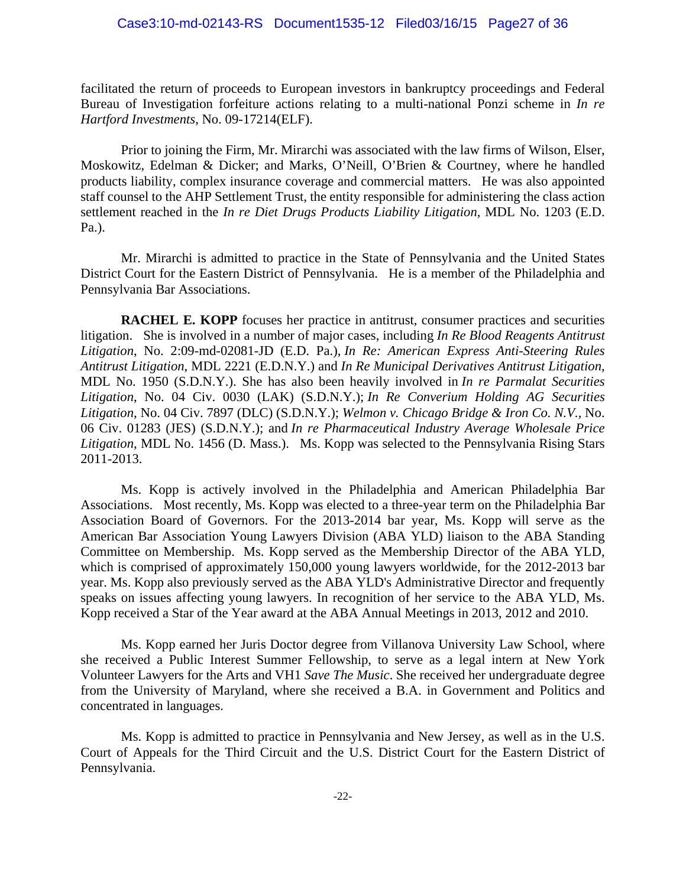facilitated the return of proceeds to European investors in bankruptcy proceedings and Federal Bureau of Investigation forfeiture actions relating to a multi-national Ponzi scheme in *In re Hartford Investments*, No. 09-17214(ELF).

 Prior to joining the Firm, Mr. Mirarchi was associated with the law firms of Wilson, Elser, Moskowitz, Edelman & Dicker; and Marks, O'Neill, O'Brien & Courtney, where he handled products liability, complex insurance coverage and commercial matters. He was also appointed staff counsel to the AHP Settlement Trust, the entity responsible for administering the class action settlement reached in the *In re Diet Drugs Products Liability Litigation,* MDL No. 1203 (E.D. Pa.).

 Mr. Mirarchi is admitted to practice in the State of Pennsylvania and the United States District Court for the Eastern District of Pennsylvania. He is a member of the Philadelphia and Pennsylvania Bar Associations.

**RACHEL E. KOPP** focuses her practice in antitrust, consumer practices and securities litigation. She is involved in a number of major cases, including *In Re Blood Reagents Antitrust Litigation*, No. 2:09-md-02081-JD (E.D. Pa.), *In Re: American Express Anti-Steering Rules Antitrust Litigation*, MDL 2221 (E.D.N.Y.) and *In Re Municipal Derivatives Antitrust Litigation*, MDL No. 1950 (S.D.N.Y.). She has also been heavily involved in *In re Parmalat Securities Litigation*, No. 04 Civ. 0030 (LAK) (S.D.N.Y.); *In Re Converium Holding AG Securities Litigation*, No. 04 Civ. 7897 (DLC) (S.D.N.Y.); *Welmon v. Chicago Bridge & Iron Co. N.V.,* No. 06 Civ. 01283 (JES) (S.D.N.Y.); and *In re Pharmaceutical Industry Average Wholesale Price Litigation*, MDL No. 1456 (D. Mass.). Ms. Kopp was selected to the Pennsylvania Rising Stars 2011-2013.

 Ms. Kopp is actively involved in the Philadelphia and American Philadelphia Bar Associations. Most recently, Ms. Kopp was elected to a three-year term on the Philadelphia Bar Association Board of Governors. For the 2013-2014 bar year, Ms. Kopp will serve as the American Bar Association Young Lawyers Division (ABA YLD) liaison to the ABA Standing Committee on Membership. Ms. Kopp served as the Membership Director of the ABA YLD, which is comprised of approximately 150,000 young lawyers worldwide, for the 2012-2013 bar year. Ms. Kopp also previously served as the ABA YLD's Administrative Director and frequently speaks on issues affecting young lawyers. In recognition of her service to the ABA YLD, Ms. Kopp received a Star of the Year award at the ABA Annual Meetings in 2013, 2012 and 2010.

 Ms. Kopp earned her Juris Doctor degree from Villanova University Law School, where she received a Public Interest Summer Fellowship, to serve as a legal intern at New York Volunteer Lawyers for the Arts and VH1 *Save The Music*. She received her undergraduate degree from the University of Maryland, where she received a B.A. in Government and Politics and concentrated in languages.

 Ms. Kopp is admitted to practice in Pennsylvania and New Jersey, as well as in the U.S. Court of Appeals for the Third Circuit and the U.S. District Court for the Eastern District of Pennsylvania.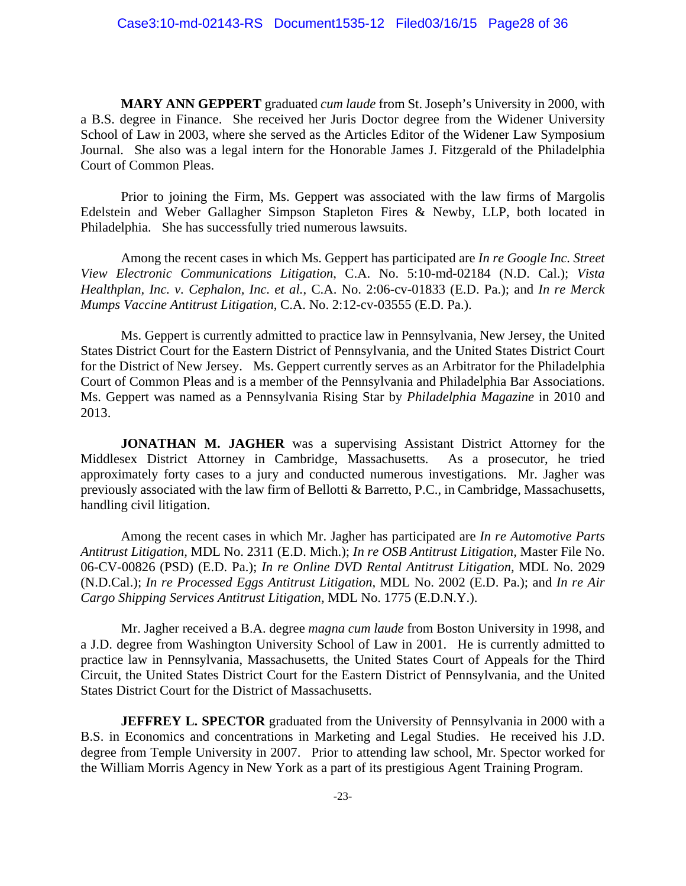**MARY ANN GEPPERT** graduated *cum laude* from St. Joseph's University in 2000, with a B.S. degree in Finance. She received her Juris Doctor degree from the Widener University School of Law in 2003, where she served as the Articles Editor of the Widener Law Symposium Journal. She also was a legal intern for the Honorable James J. Fitzgerald of the Philadelphia Court of Common Pleas.

 Prior to joining the Firm, Ms. Geppert was associated with the law firms of Margolis Edelstein and Weber Gallagher Simpson Stapleton Fires & Newby, LLP, both located in Philadelphia. She has successfully tried numerous lawsuits.

 Among the recent cases in which Ms. Geppert has participated are *In re Google Inc. Street View Electronic Communications Litigation*, C.A. No. 5:10-md-02184 (N.D. Cal.); *Vista Healthplan, Inc. v. Cephalon, Inc. et al.*, C.A. No. 2:06-cv-01833 (E.D. Pa.); and *In re Merck Mumps Vaccine Antitrust Litigation*, C.A. No. 2:12-cv-03555 (E.D. Pa.).

 Ms. Geppert is currently admitted to practice law in Pennsylvania, New Jersey, the United States District Court for the Eastern District of Pennsylvania, and the United States District Court for the District of New Jersey. Ms. Geppert currently serves as an Arbitrator for the Philadelphia Court of Common Pleas and is a member of the Pennsylvania and Philadelphia Bar Associations. Ms. Geppert was named as a Pennsylvania Rising Star by *Philadelphia Magazine* in 2010 and 2013.

**JONATHAN M. JAGHER** was a supervising Assistant District Attorney for the Middlesex District Attorney in Cambridge, Massachusetts. As a prosecutor, he tried approximately forty cases to a jury and conducted numerous investigations. Mr. Jagher was previously associated with the law firm of Bellotti & Barretto, P.C., in Cambridge, Massachusetts, handling civil litigation.

 Among the recent cases in which Mr. Jagher has participated are *In re Automotive Parts Antitrust Litigation,* MDL No. 2311 (E.D. Mich.); *In re OSB Antitrust Litigation,* Master File No. 06-CV-00826 (PSD) (E.D. Pa.); *In re Online DVD Rental Antitrust Litigation,* MDL No. 2029 (N.D.Cal.); *In re Processed Eggs Antitrust Litigation,* MDL No. 2002 (E.D. Pa.); and *In re Air Cargo Shipping Services Antitrust Litigation,* MDL No. 1775 (E.D.N.Y.).

 Mr. Jagher received a B.A. degree *magna cum laude* from Boston University in 1998, and a J.D. degree from Washington University School of Law in 2001. He is currently admitted to practice law in Pennsylvania, Massachusetts, the United States Court of Appeals for the Third Circuit, the United States District Court for the Eastern District of Pennsylvania, and the United States District Court for the District of Massachusetts.

**JEFFREY L. SPECTOR** graduated from the University of Pennsylvania in 2000 with a B.S. in Economics and concentrations in Marketing and Legal Studies. He received his J.D. degree from Temple University in 2007. Prior to attending law school, Mr. Spector worked for the William Morris Agency in New York as a part of its prestigious Agent Training Program.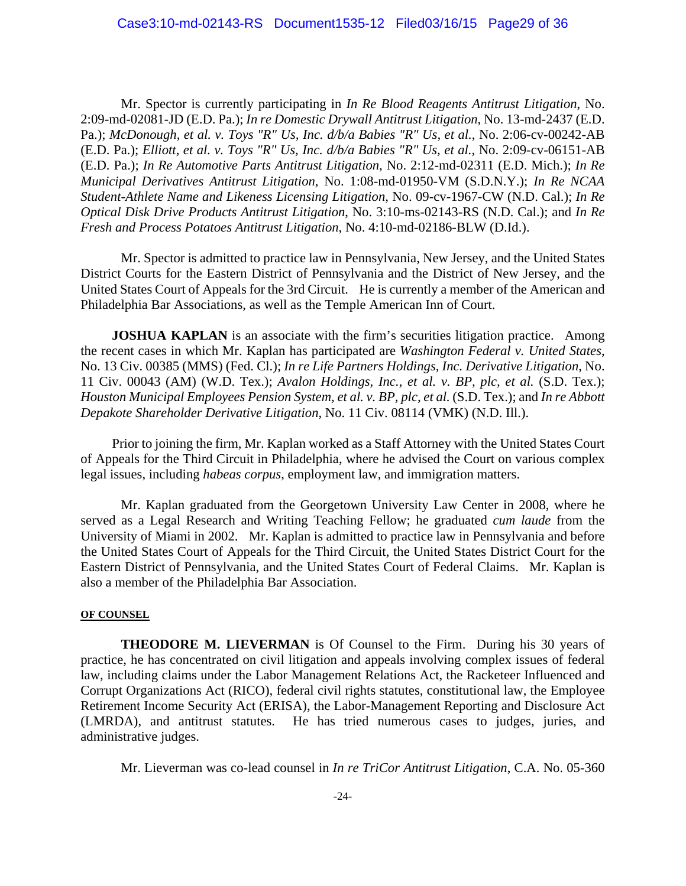Mr. Spector is currently participating in *In Re Blood Reagents Antitrust Litigation*, No. 2:09-md-02081-JD (E.D. Pa.); *In re Domestic Drywall Antitrust Litigation*, No. 13-md-2437 (E.D. Pa.); *McDonough, et al. v. Toys "R" Us, Inc. d/b/a Babies "R" Us, et al.*, No. 2:06-cv-00242-AB (E.D. Pa.); *Elliott, et al. v. Toys "R" Us, Inc. d/b/a Babies "R" Us, et al.*, No. 2:09-cv-06151-AB (E.D. Pa.); *In Re Automotive Parts Antitrust Litigation*, No. 2:12-md-02311 (E.D. Mich.); *In Re Municipal Derivatives Antitrust Litigation*, No. 1:08-md-01950-VM (S.D.N.Y.); *In Re NCAA Student-Athlete Name and Likeness Licensing Litigation*, No. 09-cv-1967-CW (N.D. Cal.); *In Re Optical Disk Drive Products Antitrust Litigation*, No. 3:10-ms-02143-RS (N.D. Cal.); and *In Re Fresh and Process Potatoes Antitrust Litigation*, No. 4:10-md-02186-BLW (D.Id.).

 Mr. Spector is admitted to practice law in Pennsylvania, New Jersey, and the United States District Courts for the Eastern District of Pennsylvania and the District of New Jersey, and the United States Court of Appeals for the 3rd Circuit. He is currently a member of the American and Philadelphia Bar Associations, as well as the Temple American Inn of Court.

**JOSHUA KAPLAN** is an associate with the firm's securities litigation practice. Among the recent cases in which Mr. Kaplan has participated are *Washington Federal v. United States*, No. 13 Civ. 00385 (MMS) (Fed. Cl.); *In re Life Partners Holdings, Inc. Derivative Litigation*, No. 11 Civ. 00043 (AM) (W.D. Tex.); *Avalon Holdings, Inc., et al. v. BP, plc, et al.* (S.D. Tex.); *Houston Municipal Employees Pension System, et al. v. BP, plc, et al.* (S.D. Tex.); and *In re Abbott Depakote Shareholder Derivative Litigation*, No. 11 Civ. 08114 (VMK) (N.D. Ill.).

 Prior to joining the firm, Mr. Kaplan worked as a Staff Attorney with the United States Court of Appeals for the Third Circuit in Philadelphia, where he advised the Court on various complex legal issues, including *habeas corpus*, employment law, and immigration matters.

 Mr. Kaplan graduated from the Georgetown University Law Center in 2008, where he served as a Legal Research and Writing Teaching Fellow; he graduated *cum laude* from the University of Miami in 2002. Mr. Kaplan is admitted to practice law in Pennsylvania and before the United States Court of Appeals for the Third Circuit, the United States District Court for the Eastern District of Pennsylvania, and the United States Court of Federal Claims. Mr. Kaplan is also a member of the Philadelphia Bar Association.

#### **OF COUNSEL**

**THEODORE M. LIEVERMAN** is Of Counsel to the Firm. During his 30 years of practice, he has concentrated on civil litigation and appeals involving complex issues of federal law, including claims under the Labor Management Relations Act, the Racketeer Influenced and Corrupt Organizations Act (RICO), federal civil rights statutes, constitutional law, the Employee Retirement Income Security Act (ERISA), the Labor-Management Reporting and Disclosure Act (LMRDA), and antitrust statutes. He has tried numerous cases to judges, juries, and administrative judges.

Mr. Lieverman was co-lead counsel in *In re TriCor Antitrust Litigation*, C.A. No. 05-360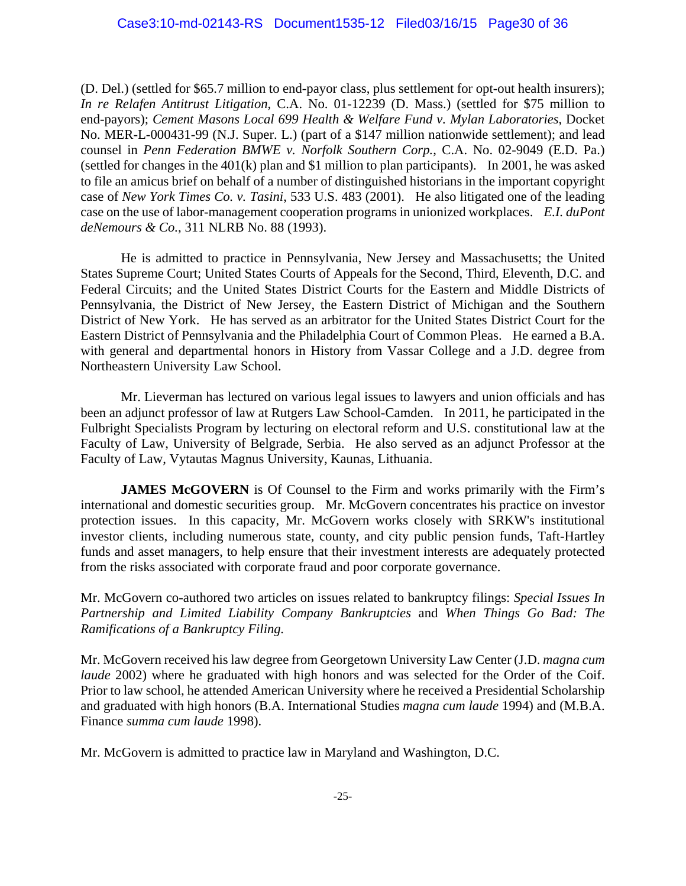(D. Del.) (settled for \$65.7 million to end-payor class, plus settlement for opt-out health insurers); *In re Relafen Antitrust Litigation*, C.A. No. 01-12239 (D. Mass.) (settled for \$75 million to end-payors); *Cement Masons Local 699 Health & Welfare Fund v. Mylan Laboratories*, Docket No. MER-L-000431-99 (N.J. Super. L.) (part of a \$147 million nationwide settlement); and lead counsel in *Penn Federation BMWE v. Norfolk Southern Corp.*, C.A. No. 02-9049 (E.D. Pa.) (settled for changes in the 401(k) plan and \$1 million to plan participants). In 2001, he was asked to file an amicus brief on behalf of a number of distinguished historians in the important copyright case of *New York Times Co. v. Tasini*, 533 U.S. 483 (2001). He also litigated one of the leading case on the use of labor-management cooperation programs in unionized workplaces. *E.I. duPont deNemours & Co.*, 311 NLRB No. 88 (1993).

 He is admitted to practice in Pennsylvania, New Jersey and Massachusetts; the United States Supreme Court; United States Courts of Appeals for the Second, Third, Eleventh, D.C. and Federal Circuits; and the United States District Courts for the Eastern and Middle Districts of Pennsylvania, the District of New Jersey, the Eastern District of Michigan and the Southern District of New York. He has served as an arbitrator for the United States District Court for the Eastern District of Pennsylvania and the Philadelphia Court of Common Pleas. He earned a B.A. with general and departmental honors in History from Vassar College and a J.D. degree from Northeastern University Law School.

 Mr. Lieverman has lectured on various legal issues to lawyers and union officials and has been an adjunct professor of law at Rutgers Law School-Camden. In 2011, he participated in the Fulbright Specialists Program by lecturing on electoral reform and U.S. constitutional law at the Faculty of Law, University of Belgrade, Serbia. He also served as an adjunct Professor at the Faculty of Law, Vytautas Magnus University, Kaunas, Lithuania.

**JAMES McGOVERN** is Of Counsel to the Firm and works primarily with the Firm's international and domestic securities group. Mr. McGovern concentrates his practice on investor protection issues. In this capacity, Mr. McGovern works closely with SRKW's institutional investor clients, including numerous state, county, and city public pension funds, Taft-Hartley funds and asset managers, to help ensure that their investment interests are adequately protected from the risks associated with corporate fraud and poor corporate governance.

Mr. McGovern co-authored two articles on issues related to bankruptcy filings: *Special Issues In Partnership and Limited Liability Company Bankruptcies* and *When Things Go Bad: The Ramifications of a Bankruptcy Filing.*

Mr. McGovern received his law degree from Georgetown University Law Center (J.D. *magna cum laude* 2002) where he graduated with high honors and was selected for the Order of the Coif. Prior to law school, he attended American University where he received a Presidential Scholarship and graduated with high honors (B.A. International Studies *magna cum laude* 1994) and (M.B.A. Finance *summa cum laude* 1998).

Mr. McGovern is admitted to practice law in Maryland and Washington, D.C.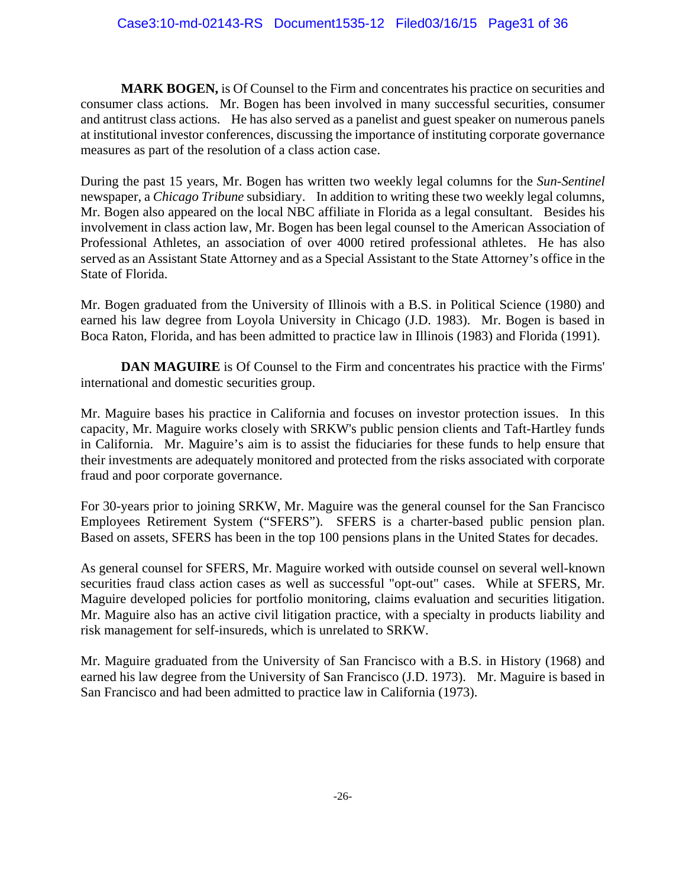**MARK BOGEN,** is Of Counsel to the Firm and concentrates his practice on securities and consumer class actions. Mr. Bogen has been involved in many successful securities, consumer and antitrust class actions. He has also served as a panelist and guest speaker on numerous panels at institutional investor conferences, discussing the importance of instituting corporate governance measures as part of the resolution of a class action case.

During the past 15 years, Mr. Bogen has written two weekly legal columns for the *Sun-Sentinel* newspaper, a *Chicago Tribune* subsidiary. In addition to writing these two weekly legal columns, Mr. Bogen also appeared on the local NBC affiliate in Florida as a legal consultant. Besides his involvement in class action law, Mr. Bogen has been legal counsel to the American Association of Professional Athletes, an association of over 4000 retired professional athletes. He has also served as an Assistant State Attorney and as a Special Assistant to the State Attorney's office in the State of Florida.

Mr. Bogen graduated from the University of Illinois with a B.S. in Political Science (1980) and earned his law degree from Loyola University in Chicago (J.D. 1983). Mr. Bogen is based in Boca Raton, Florida, and has been admitted to practice law in Illinois (1983) and Florida (1991).

**DAN MAGUIRE** is Of Counsel to the Firm and concentrates his practice with the Firms' international and domestic securities group.

Mr. Maguire bases his practice in California and focuses on investor protection issues. In this capacity, Mr. Maguire works closely with SRKW's public pension clients and Taft-Hartley funds in California. Mr. Maguire's aim is to assist the fiduciaries for these funds to help ensure that their investments are adequately monitored and protected from the risks associated with corporate fraud and poor corporate governance.

For 30-years prior to joining SRKW, Mr. Maguire was the general counsel for the San Francisco Employees Retirement System ("SFERS"). SFERS is a charter-based public pension plan. Based on assets, SFERS has been in the top 100 pensions plans in the United States for decades.

As general counsel for SFERS, Mr. Maguire worked with outside counsel on several well-known securities fraud class action cases as well as successful "opt-out" cases. While at SFERS, Mr. Maguire developed policies for portfolio monitoring, claims evaluation and securities litigation. Mr. Maguire also has an active civil litigation practice, with a specialty in products liability and risk management for self-insureds, which is unrelated to SRKW.

Mr. Maguire graduated from the University of San Francisco with a B.S. in History (1968) and earned his law degree from the University of San Francisco (J.D. 1973). Mr. Maguire is based in San Francisco and had been admitted to practice law in California (1973).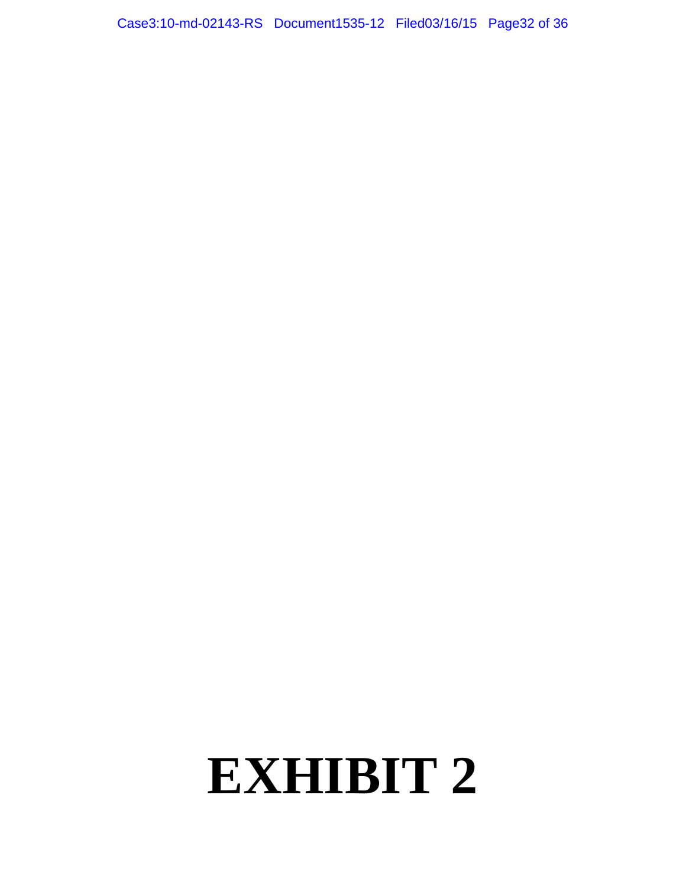# **EXHIBIT 2**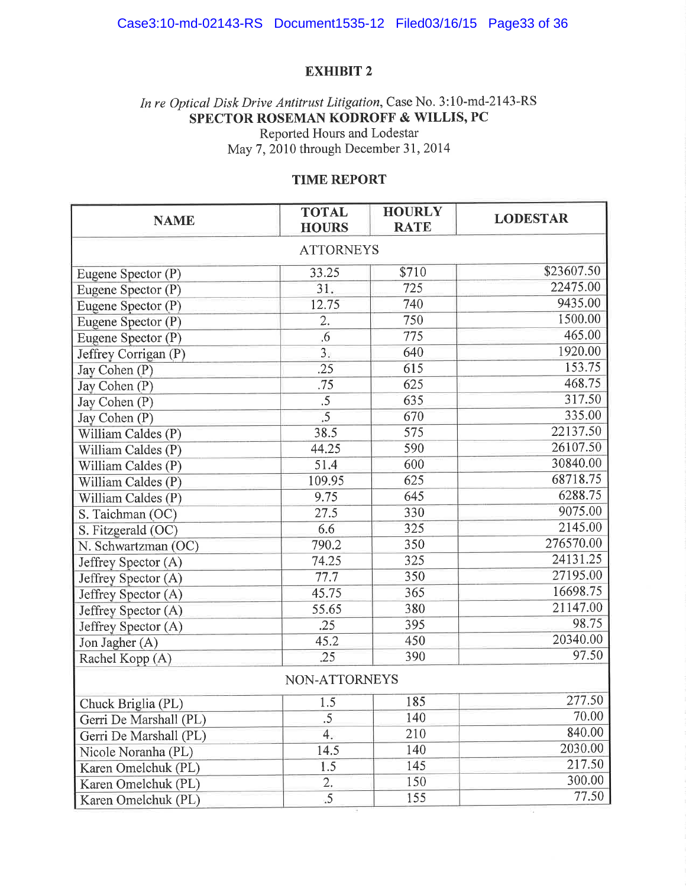## **EXHIBIT 2**

## In re Optical Disk Drive Antitrust Litigation, Case No. 3:10-md-2143-RS SPECTOR ROSEMAN KODROFF & WILLIS, PC Reported Hours and Lodestar

May 7, 2010 through December 31, 2014

## **TIME REPORT**

| <b>NAME</b>            | <b>TOTAL</b><br><b>HOURS</b> | <b>HOURLY</b><br><b>RATE</b> | <b>LODESTAR</b> |  |  |  |
|------------------------|------------------------------|------------------------------|-----------------|--|--|--|
| <b>ATTORNEYS</b>       |                              |                              |                 |  |  |  |
| Eugene Spector (P)     | 33.25                        | \$710                        | \$23607.50      |  |  |  |
| Eugene Spector (P)     | 31.                          | 725                          | 22475.00        |  |  |  |
| Eugene Spector (P)     | 12.75                        | 740                          | 9435.00         |  |  |  |
| Eugene Spector (P)     | 2.                           | 750                          | 1500.00         |  |  |  |
| Eugene Spector (P)     | .6                           | 775                          | 465.00          |  |  |  |
| Jeffrey Corrigan (P)   | 3.                           | 640                          | 1920.00         |  |  |  |
| Jay Cohen (P)          | .25                          | 615                          | 153.75          |  |  |  |
| Jay Cohen (P)          | .75                          | 625                          | 468.75          |  |  |  |
| Jay Cohen (P)          | $\overline{.5}$              | 635                          | 317.50          |  |  |  |
| Jay Cohen (P)          | .5                           | 670                          | 335.00          |  |  |  |
| William Caldes (P)     | 38.5                         | 575                          | 22137.50        |  |  |  |
| William Caldes (P)     | 44.25                        | 590                          | 26107.50        |  |  |  |
| William Caldes (P)     | 51.4                         | 600                          | 30840.00        |  |  |  |
| William Caldes (P)     | 109.95                       | 625                          | 68718.75        |  |  |  |
| William Caldes (P)     | 9.75                         | 645                          | 6288.75         |  |  |  |
| S. Taichman (OC)       | 27.5                         | 330                          | 9075.00         |  |  |  |
| S. Fitzgerald (OC)     | 6.6                          | 325                          | 2145.00         |  |  |  |
| N. Schwartzman (OC)    | 790.2                        | 350                          | 276570.00       |  |  |  |
| Jeffrey Spector (A)    | 74.25                        | 325                          | 24131.25        |  |  |  |
| Jeffrey Spector (A)    | 77.7                         | 350                          | 27195.00        |  |  |  |
| Jeffrey Spector (A)    | 45.75                        | 365                          | 16698.75        |  |  |  |
| Jeffrey Spector (A)    | 55.65                        | 380                          | 21147.00        |  |  |  |
| Jeffrey Spector (A)    | .25                          | 395                          | 98.75           |  |  |  |
| Jon Jagher (A)         | 45.2                         | 450                          | 20340.00        |  |  |  |
| Rachel Kopp (A)        | .25                          | 390                          | 97.50           |  |  |  |
| NON-ATTORNEYS          |                              |                              |                 |  |  |  |
| Chuck Briglia (PL)     | 1.5                          | 185                          | 277.50          |  |  |  |
| Gerri De Marshall (PL) | .5                           | 140                          | 70.00           |  |  |  |
| Gerri De Marshall (PL) | 4.                           | 210                          | 840.00          |  |  |  |
| Nicole Noranha (PL)    | 14.5                         | 140                          | 2030.00         |  |  |  |
| Karen Omelchuk (PL)    | 1.5                          | 145                          | 217.50          |  |  |  |
| Karen Omelchuk (PL)    | $\overline{2}$ .             | 150                          | 300.00          |  |  |  |
| Karen Omelchuk (PL)    | .5                           | 155                          | 77.50           |  |  |  |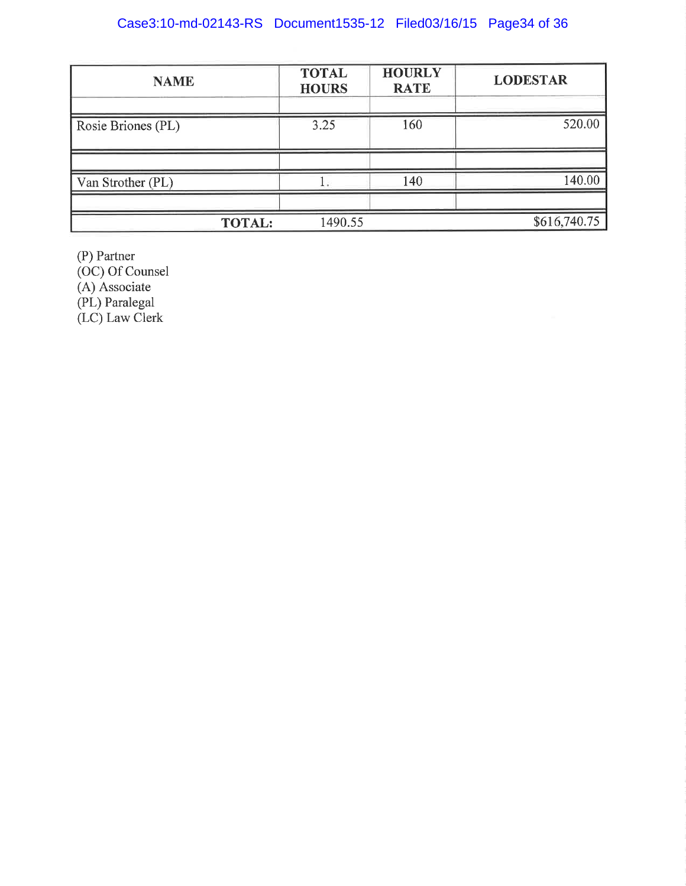## Case3:10-md-02143-RS Document1535-12 Filed03/16/15 Page34 of 36

| <b>NAME</b>        | <b>TOTAL</b><br><b>HOURS</b> | <b>HOURLY</b><br><b>RATE</b> | <b>LODESTAR</b> |
|--------------------|------------------------------|------------------------------|-----------------|
| Rosie Briones (PL) | 3.25                         | 160                          | 520.00          |
|                    |                              |                              |                 |
| Van Strother (PL)  |                              | 140                          | 140.00          |
|                    |                              |                              |                 |
| <b>TOTAL:</b>      | 1490.55                      |                              | \$616,740.75    |

(P) Partner<br>(OC) Of Counsel<br>(A) Associate<br>(PL) Paralegal<br>(LC) Law Clerk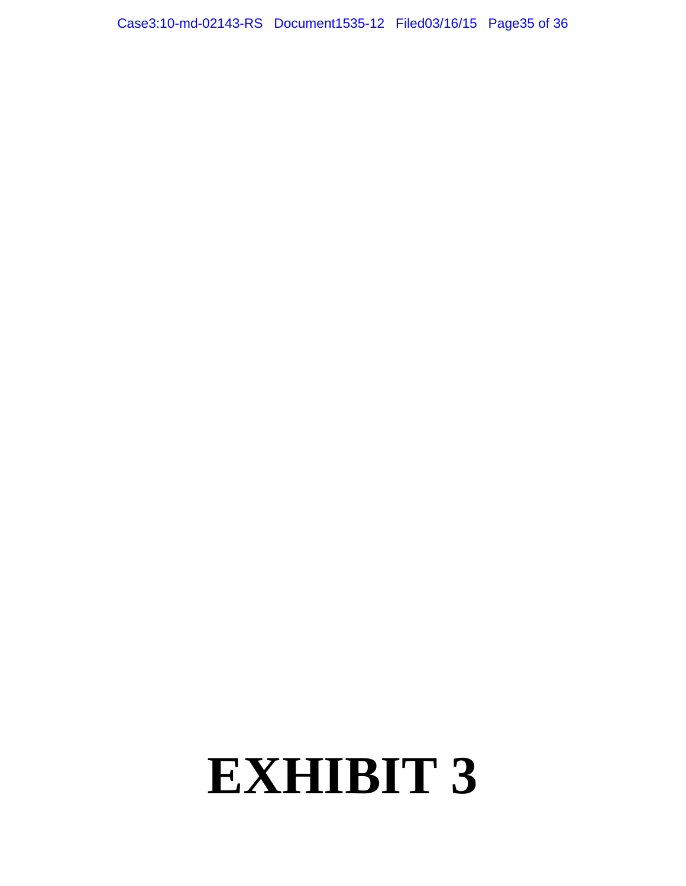# **EXHIBIT 3**